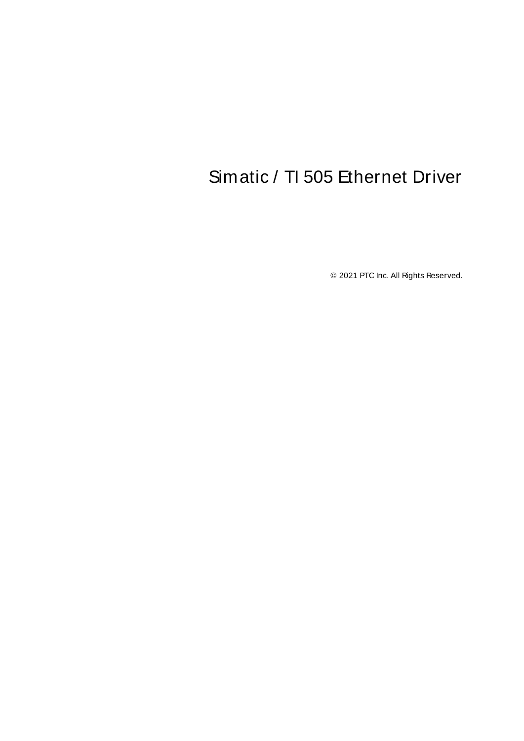# <span id="page-0-0"></span>Simatic / TI 505 Ethernet Driver

© 2021 PTC Inc. All Rights Reserved.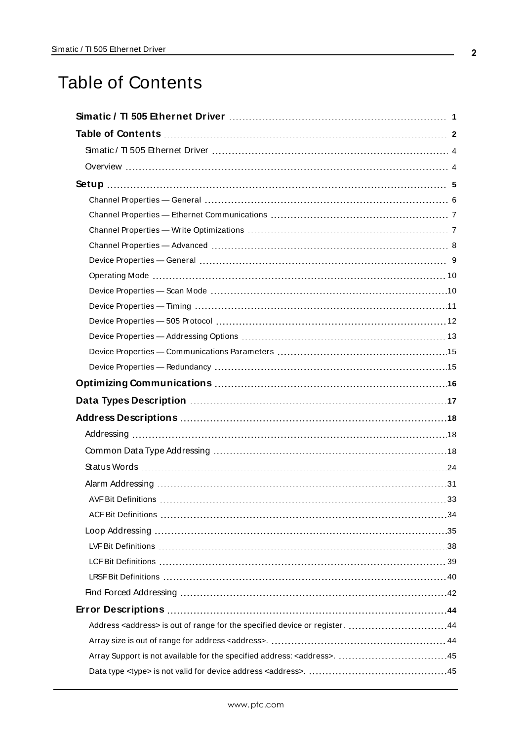# <span id="page-1-0"></span>Table of Contents

| Address <address> is out of range for the specified device or register. 44</address> |
|--------------------------------------------------------------------------------------|
|                                                                                      |
|                                                                                      |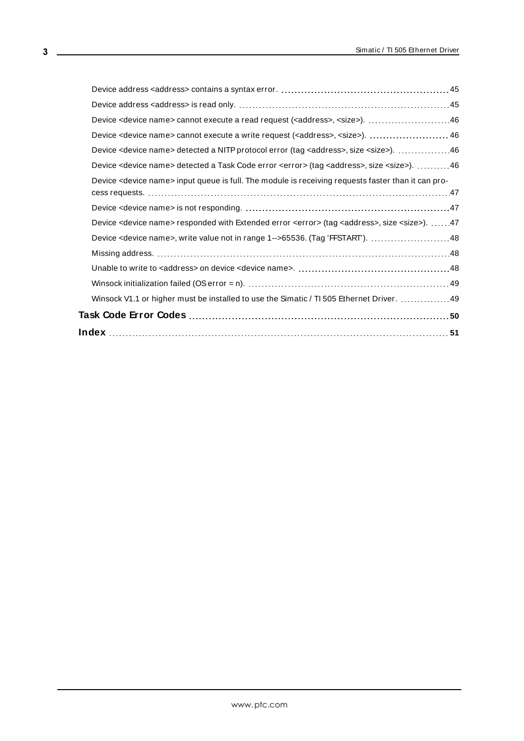| Device <device name=""> cannot execute a read request (<address>, <size>). 46</size></address></device>                          |  |
|----------------------------------------------------------------------------------------------------------------------------------|--|
| Device <device name=""> cannot execute a write request (<address>, <size>).  46</size></address></device>                        |  |
| Device <device name=""> detected a NITP protocol error (tag <address>, size <size>). 46</size></address></device>                |  |
| Device <device name=""> detected a Task Code error <error> (tag <address>, size <size>). 46</size></address></error></device>    |  |
| Device <device name=""> input queue is full. The module is receiving requests faster than it can pro-</device>                   |  |
|                                                                                                                                  |  |
| Device <device name=""> responded with Extended error <error> (tag <address>, size <size>). 47</size></address></error></device> |  |
| Device <device name="">, write value not in range 1--&gt;65536. (Tag 'FFSTART'). 48</device>                                     |  |
|                                                                                                                                  |  |
|                                                                                                                                  |  |
|                                                                                                                                  |  |
| Winsock V1.1 or higher must be installed to use the Simatic / TI 505 Ethernet Driver.  49                                        |  |
|                                                                                                                                  |  |
|                                                                                                                                  |  |
|                                                                                                                                  |  |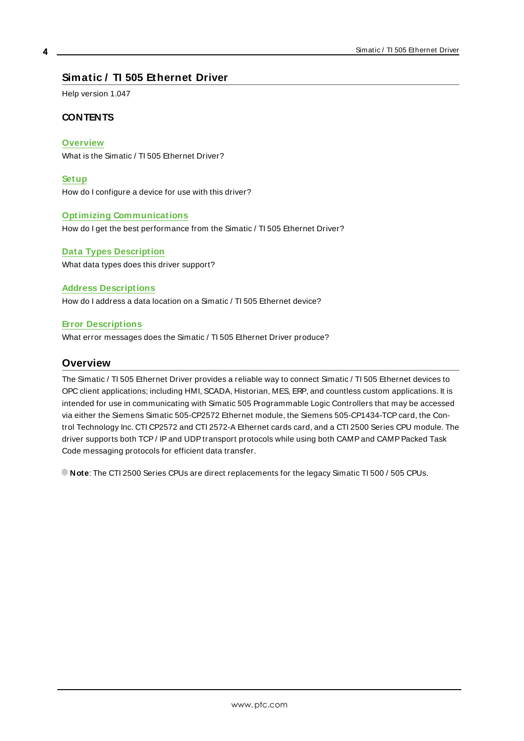# <span id="page-3-0"></span>**Simatic / TI 505 Ethernet Driver**

Help version 1.047

### **CONTENTS**

**[Overview](#page-3-1)**

What is the Simatic / TI 505 Ethernet Driver?

**[Setup](#page-4-0)**

How do I configure a device for use with this driver?

#### **Optimizing [Communications](#page-15-0)**

How do I get the best performance from the Simatic / TI 505 Ethernet Driver?

# **Data Types [Description](#page-16-0)**

What data types does this driver support?

#### **Address [Descriptions](#page-17-0)**

How do I address a data location on a Simatic / TI 505 Ethernet device?

#### **Error [Descriptions](#page-43-0)**

<span id="page-3-1"></span>What error messages does the Simatic / TI 505 Ethernet Driver produce?

### **Overview**

The Simatic / TI 505 Ethernet Driver provides a reliable way to connect Simatic / TI 505 Ethernet devices to OPC client applications; including HMI, SCADA, Historian, MES, ERP, and countless custom applications. It is intended for use in communicating with Simatic 505 Programmable Logic Controllers that may be accessed via either the Siemens Simatic 505-CP2572 Ethernet module, the Siemens 505-CP1434-TCPcard, the Control Technology Inc. CTI CP2572 and CTI 2572-A Ethernet cards card, and a CTI 2500 Series CPU module. The driver supports both TCP/ IP and UDP transport protocols while using both CAMP and CAMP Packed Task Code messaging protocols for efficient data transfer.

**Note**: The CTI 2500 Series CPUs are direct replacements for the legacy Simatic TI 500 / 505 CPUs.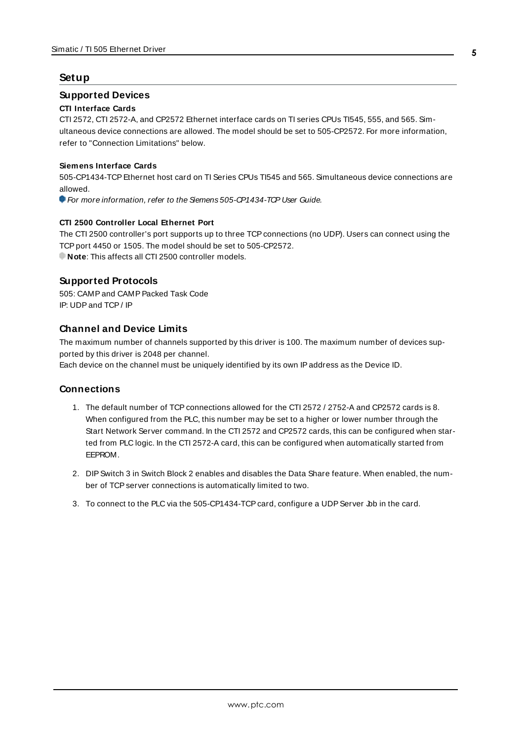#### <span id="page-4-0"></span>**Setup**

#### **Supported Devices**

#### **CTI Interface Cards**

CTI 2572, CTI 2572-A, and CP2572 Ethernet interface cards on TI series CPUs TI545, 555, and 565. Simultaneous device connections are allowed. The model should be set to 505-CP2572. For more information, refer to "Connection Limitations" below.

#### **Siemens Interface Cards**

505-CP1434-TCPEthernet host card on TI Series CPUs TI545 and 565. Simultaneous device connections are allowed.

For more information, refer to the Semens 505-CP1434-TCP User Guide.

#### **CTI 2500 Controller Local Ethernet Port**

The CTI 2500 controller's port supports up to three TCP connections (no UDP). Users can connect using the TCP port 4450 or 1505. The model should be set to 505-CP2572. **Note:** This affects all CTI 2500 controller models.

#### **Supported Protocols**

505: CAMP and CAMP Packed Task Code IP: UDPand TCP/ IP

### **Channel and Device Limits**

<span id="page-4-1"></span>The maximum number of channels supported by this driver is 100. The maximum number of devices supported by this driver is 2048 per channel.

Each device on the channel must be uniquely identified by its own IPaddress as the Device ID.

#### **Connections**

- 1. The default number of TCP connections allowed for the CTI 2572 / 2752-A and CP2572 cards is 8. When configured from the PLC, this number may be set to a higher or lower number through the Start Network Server command. In the CTI 2572 and CP2572 cards, this can be configured when started from PLC logic. In the CTI 2572-A card, this can be configured when automatically started from EEPROM.
- 2. DIPSwitch 3 in Switch Block 2 enables and disables the Data Share feature. When enabled, the number of TCP server connections is automatically limited to two.
- 3. To connect to the PLC via the 505-CP1434-TCP card, configure a UDP Server Job in the card.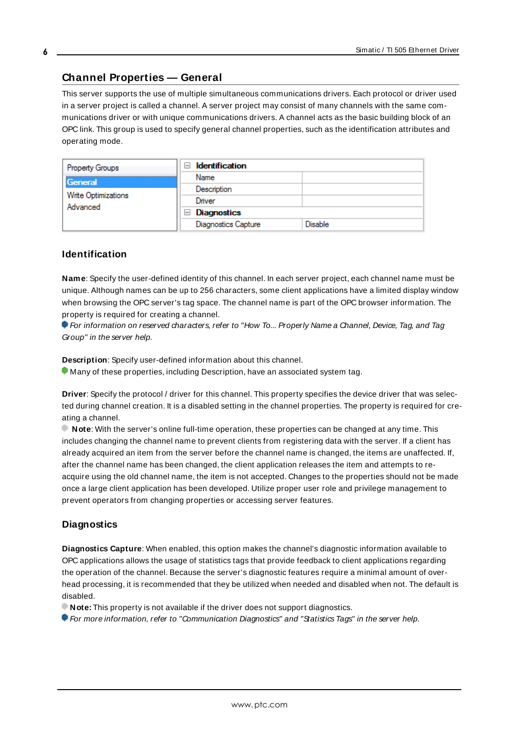# <span id="page-5-0"></span>**Channel Properties — General**

This server supports the use of multiple simultaneous communications drivers. Each protocol or driver used in a server project is called a channel. A server project may consist of many channels with the same communications driver or with unique communications drivers. A channel acts as the basic building block of an OPC link. This group is used to specify general channel properties, such as the identification attributes and operating mode.

| <b>Property Groups</b>          | <b>Identification</b><br>$\overline{\phantom{a}}$ |                |
|---------------------------------|---------------------------------------------------|----------------|
| General                         | Name                                              |                |
| Write Optimizations<br>Advanced | Description                                       |                |
|                                 | Driver                                            |                |
|                                 | Diagnostics<br>$\overline{ }$                     |                |
|                                 | Diagnostics Capture                               | <b>Disable</b> |

# **Identification**

**Name**: Specify the user-defined identity of this channel. In each server project, each channel name must be unique. Although names can be up to 256 characters, some client applications have a limited display window when browsing the OPC server's tag space. The channel name is part of the OPC browser information. The property is required for creating a channel.

For information on reserved characters, refer to "How To... Properly Name a Channel, Device, Tag, and Tag Group" in the server help.

**Description**: Specify user-defined information about this channel.

Many of these properties, including Description, have an associated system tag.

**Driver**: Specify the protocol / driver for this channel. This property specifies the device driver that was selected during channel creation. It is a disabled setting in the channel properties. The property is required for creating a channel.

**Note**: With the server's online full-time operation, these properties can be changed at any time. This includes changing the channel name to prevent clients from registering data with the server. If a client has already acquired an item from the server before the channel name is changed, the items are unaffected. If, after the channel name has been changed, the client application releases the item and attempts to reacquire using the old channel name, the item is not accepted. Changes to the properties should not be made once a large client application has been developed. Utilize proper user role and privilege management to prevent operators from changing properties or accessing server features.

# **Diagnostics**

**Diagnostics Capture**: When enabled, this option makes the channel's diagnostic information available to OPC applications allows the usage of statistics tags that provide feedback to client applications regarding the operation of the channel. Because the server's diagnostic features require a minimal amount of overhead processing, it is recommended that they be utilized when needed and disabled when not. The default is disabled.

**Note:** This property is not available if the driver does not support diagnostics.

**• For more information, refer to "Communication Diagnostics" and "Statistics Tags" in the server help.**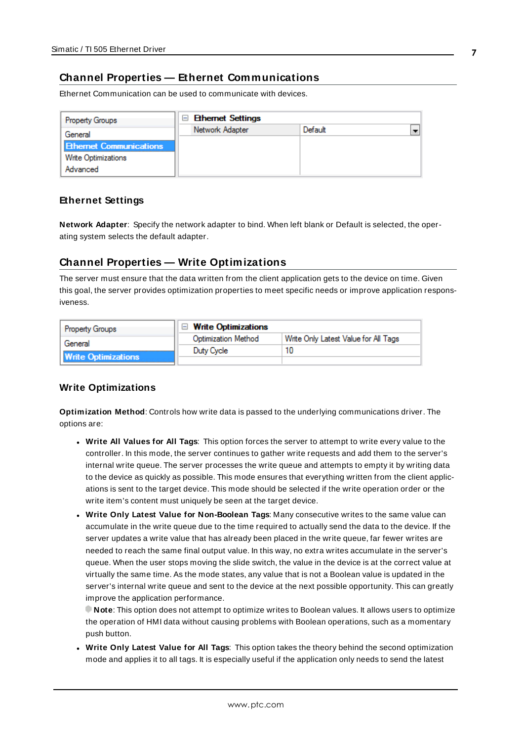# <span id="page-6-0"></span>**Channel Properties — Ethernet Communications**

Ethernet Communication can be used to communicate with devices.

| <b>Property Groups</b>         | <b>Ethernet Settings</b><br>$\equiv$ |         |  |
|--------------------------------|--------------------------------------|---------|--|
| General                        | Network Adapter                      | Default |  |
| <b>Ethernet Communications</b> |                                      |         |  |
| Write Optimizations            |                                      |         |  |
| Advanced                       |                                      |         |  |

#### **Ethernet Settings**

**Network Adapter**: Specify the network adapter to bind. When left blank or Default is selected, the operating system selects the default adapter.

# <span id="page-6-1"></span>**Channel Properties — Write Optimizations**

The server must ensure that the data written from the client application gets to the device on time. Given this goal, the server provides optimization properties to meet specific needs or improve application responsiveness.

| <b>Property Groups</b>     | $\Box$ Write Optimizations |                                      |
|----------------------------|----------------------------|--------------------------------------|
| General                    | <b>Optimization Method</b> | Write Only Latest Value for All Tags |
|                            | Duty Cycle                 | 10                                   |
| <b>Write Optimizations</b> |                            |                                      |

#### **Write Optimizations**

**Optimization Method**: Controls how write data is passed to the underlying communications driver. The options are:

- <sup>l</sup> **Write All Values for All Tags**: This option forces the server to attempt to write every value to the controller. In this mode, the server continues to gather write requests and add them to the server's internal write queue. The server processes the write queue and attempts to empty it by writing data to the device as quickly as possible. This mode ensures that everything written from the client applications is sent to the target device. This mode should be selected if the write operation order or the write item's content must uniquely be seen at the target device.
- <sup>l</sup> **Write Only Latest Value for Non-Boolean Tags**: Many consecutive writes to the same value can accumulate in the write queue due to the time required to actually send the data to the device. If the server updates a write value that has already been placed in the write queue, far fewer writes are needed to reach the same final output value. In this way, no extra writes accumulate in the server's queue. When the user stops moving the slide switch, the value in the device is at the correct value at virtually the same time. As the mode states, any value that is not a Boolean value is updated in the server's internal write queue and sent to the device at the next possible opportunity. This can greatly improve the application performance.

**Note**: This option does not attempt to optimize writes to Boolean values. It allows users to optimize the operation of HMI data without causing problems with Boolean operations, such as a momentary push button.

**• Write Only Latest Value for All Tags**: This option takes the theory behind the second optimization mode and applies it to all tags. It is especially useful if the application only needs to send the latest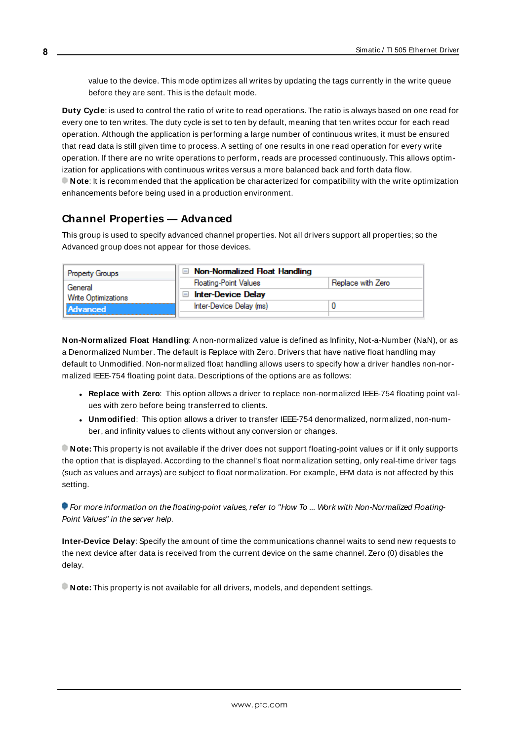value to the device. This mode optimizes all writes by updating the tags currently in the write queue before they are sent. This is the default mode.

**Duty Cycle**: is used to control the ratio of write to read operations. The ratio is always based on one read for every one to ten writes. The duty cycle is set to ten by default, meaning that ten writes occur for each read operation. Although the application is performing a large number of continuous writes, it must be ensured that read data is still given time to process. A setting of one results in one read operation for every write operation. If there are no write operations to perform, reads are processed continuously. This allows optimization for applications with continuous writes versus a more balanced back and forth data flow. **Note**: It is recommended that the application be characterized for compatibility with the write optimization enhancements before being used in a production environment.

# <span id="page-7-0"></span>**Channel Properties — Advanced**

This group is used to specify advanced channel properties. Not all drivers support all properties; so the Advanced group does not appear for those devices.

| <b>Property Groups</b> | $\Box$ Non-Normalized Float Handling |                   |
|------------------------|--------------------------------------|-------------------|
| General                | <b>Floating-Point Values</b>         | Replace with Zero |
| Write Optimizations    | <b>Inter-Device Delay</b>            |                   |
| Advanced               | Inter-Device Delay (ms)              |                   |
|                        |                                      |                   |

**Non-Normalized Float Handling**: A non-normalized value is defined as Infinity, Not-a-Number (NaN), or as a Denormalized Number. The default is Replace with Zero. Drivers that have native float handling may default to Unmodified. Non-normalized float handling allows users to specify how a driver handles non-normalized IEEE-754 floating point data. Descriptions of the options are as follows:

- <sup>l</sup> **Replace with Zero**: This option allows a driver to replace non-normalized IEEE-754 floating point values with zero before being transferred to clients.
- <sup>l</sup> **Unmodified**: This option allows a driver to transfer IEEE-754 denormalized, normalized, non-number, and infinity values to clients without any conversion or changes.

**Note:** This property is not available if the driver does not support floating-point values or if it only supports the option that is displayed. According to the channel's float normalization setting, only real-time driver tags (such as values and arrays) are subject to float normalization. For example, EFM data is not affected by this setting.

For more information on the floating-point values, refer to "How To ... Work with Non-Normalized Floating-Point Values" in the server help.

**Inter-Device Delay**: Specify the amount of time the communications channel waits to send new requests to the next device after data is received from the current device on the same channel. Zero (0) disables the delay.

**Note:** This property is not available for all drivers, models, and dependent settings.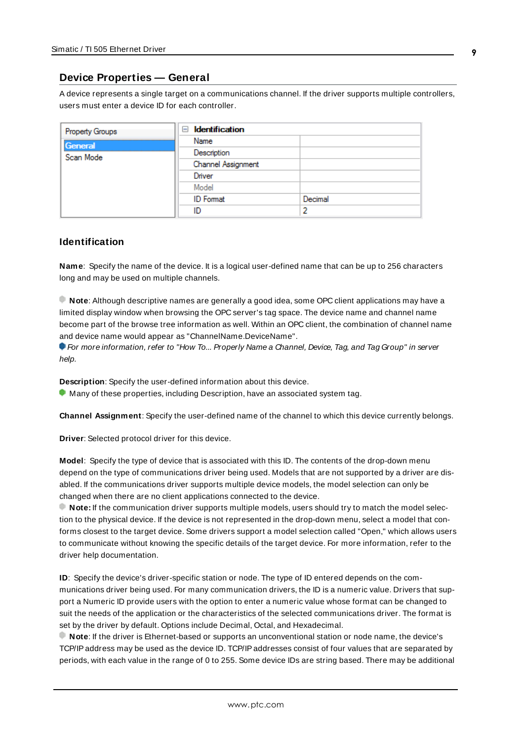### <span id="page-8-0"></span>**Device Properties — General**

A device represents a single target on a communications channel. If the driver supports multiple controllers, users must enter a device ID for each controller.

| <b>Property Groups</b> | <b>Identification</b><br>- |         |
|------------------------|----------------------------|---------|
| General                | Name                       |         |
| Scan Mode              | Description                |         |
|                        | Channel Assignment         |         |
|                        | Driver                     |         |
|                        | Model                      |         |
|                        | <b>ID</b> Format           | Decimal |
|                        | ID                         |         |

#### <span id="page-8-5"></span>**Identification**

**Name**: Specify the name of the device. It is a logical user-defined name that can be up to 256 characters long and may be used on multiple channels.

**Note**: Although descriptive names are generally a good idea, some OPC client applications may have a limited display window when browsing the OPC server's tag space. The device name and channel name become part of the browse tree information as well. Within an OPC client, the combination of channel name and device name would appear as "ChannelName.DeviceName".

For more information, refer to "How To... Properly Name a Channel, Device, Tag, and Tag Group" in server help.

**Description**: Specify the user-defined information about this device.

<span id="page-8-1"></span>**Many of these properties, including Description, have an associated system tag.** 

<span id="page-8-2"></span>**Channel Assignment**: Specify the user-defined name of the channel to which this device currently belongs.

<span id="page-8-4"></span>**Driver**: Selected protocol driver for this device.

**Model**: Specify the type of device that is associated with this ID. The contents of the drop-down menu depend on the type of communications driver being used. Models that are not supported by a driver are disabled. If the communications driver supports multiple device models, the model selection can only be changed when there are no client applications connected to the device.

**Note:** If the communication driver supports multiple models, users should try to match the model selection to the physical device. If the device is not represented in the drop-down menu, select a model that conforms closest to the target device. Some drivers support a model selection called "Open," which allows users to communicate without knowing the specific details of the target device. For more information, refer to the driver help documentation.

<span id="page-8-3"></span>**ID**: Specify the device's driver-specific station or node. The type of ID entered depends on the communications driver being used. For many communication drivers, the ID is a numeric value. Drivers that support a Numeric ID provide users with the option to enter a numeric value whose format can be changed to suit the needs of the application or the characteristics of the selected communications driver. The format is set by the driver by default. Options include Decimal, Octal, and Hexadecimal.

**Note**: If the driver is Ethernet-based or supports an unconventional station or node name, the device's TCP/IPaddress may be used as the device ID. TCP/IPaddresses consist of four values that are separated by periods, with each value in the range of 0 to 255. Some device IDs are string based. There may be additional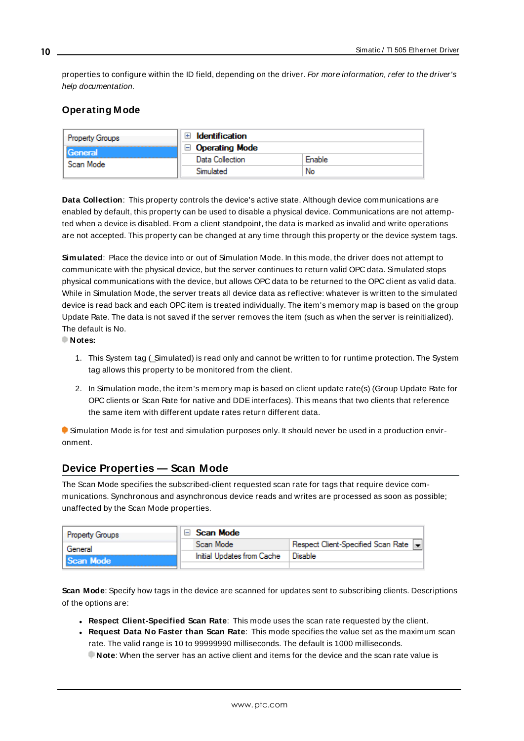properties to configure within the ID field, depending on the driver. For more information, refer to the driver's help documentation.

# <span id="page-9-0"></span>**Operating Mode**

| <b>Property Groups</b> | Identification        |        |
|------------------------|-----------------------|--------|
| General<br>Scan Mode   | $\Box$ Operating Mode |        |
|                        | Data Collection       | Enable |
|                        | Simulated             | No     |

<span id="page-9-2"></span>**Data Collection**: This property controls the device's active state. Although device communications are enabled by default, this property can be used to disable a physical device. Communications are not attempted when a device is disabled. From a client standpoint, the data is marked as invalid and write operations are not accepted. This property can be changed at any time through this property or the device system tags.

<span id="page-9-4"></span>**Simulated**: Place the device into or out of Simulation Mode. In this mode, the driver does not attempt to communicate with the physical device, but the server continues to return valid OPC data. Simulated stops physical communications with the device, but allows OPC data to be returned to the OPC client as valid data. While in Simulation Mode, the server treats all device data as reflective: whatever is written to the simulated device is read back and each OPC item is treated individually. The item's memory map is based on the group Update Rate. The data is not saved if the server removes the item (such as when the server is reinitialized). The default is No.

**Notes:**

- 1. This System tag (Simulated) is read only and cannot be written to for runtime protection. The System tag allows this property to be monitored from the client.
- 2. In Simulation mode, the item's memory map is based on client update rate(s) (Group Update Rate for OPC clients or Scan Rate for native and DDEinterfaces). This means that two clients that reference the same item with different update rates return different data.

 Simulation Mode is for test and simulation purposes only. It should never be used in a production environment.

# <span id="page-9-1"></span>**Device Properties — Scan Mode**

The Scan Mode specifies the subscribed-client requested scan rate for tags that require device communications. Synchronous and asynchronous device reads and writes are processed as soon as possible; unaffected by the Scan Mode properties.

| <b>Property Groups</b> | Scan Mode                  |                                      |
|------------------------|----------------------------|--------------------------------------|
| General                | Scan Mode                  | Respect Client-Specified Scan Rate v |
| Scan Mode              | Initial Updates from Cache | Disable                              |
|                        |                            |                                      |

<span id="page-9-3"></span>**Scan Mode**: Specify how tags in the device are scanned for updates sent to subscribing clients. Descriptions of the options are:

- <sup>l</sup> **Respect Client-Specified Scan Rate**: This mode uses the scan rate requested by the client.
- <sup>l</sup> **Request Data No Faster than Scan Rate**: This mode specifies the value set as the maximum scan rate. The valid range is 10 to 99999990 milliseconds. The default is 1000 milliseconds.

**Note**: When the server has an active client and items for the device and the scan rate value is

**10**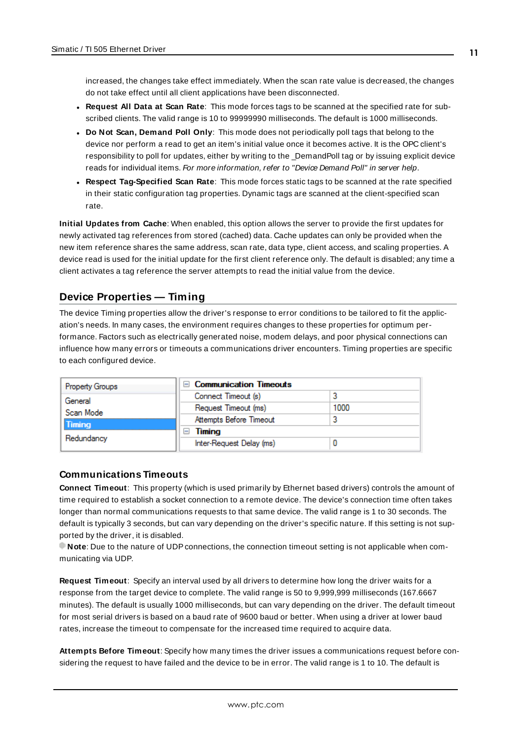increased, the changes take effect immediately. When the scan rate value is decreased, the changes do not take effect until all client applications have been disconnected.

- <span id="page-10-3"></span><sup>l</sup> **Request All Data at Scan Rate**: This mode forces tags to be scanned at the specified rate for subscribed clients. The valid range is 10 to 99999990 milliseconds. The default is 1000 milliseconds.
- <sup>l</sup> **Do Not Scan, Demand Poll Only**: This mode does not periodically poll tags that belong to the device nor perform a read to get an item's initial value once it becomes active. It is the OPC client's responsibility to poll for updates, either by writing to the \_DemandPoll tag or by issuing explicit device reads for individual items. For more information, refer to "Device Demand Poll" in server help.
- <span id="page-10-6"></span><sup>l</sup> **Respect Tag-Specified Scan Rate**: This mode forces static tags to be scanned at the rate specified in their static configuration tag properties. Dynamic tags are scanned at the client-specified scan rate.

<span id="page-10-4"></span>**Initial Updates from Cache**: When enabled, this option allows the server to provide the first updates for newly activated tag references from stored (cached) data. Cache updates can only be provided when the new item reference shares the same address, scan rate, data type, client access, and scaling properties. A device read is used for the initial update for the first client reference only. The default is disabled; any time a client activates a tag reference the server attempts to read the initial value from the device.

# <span id="page-10-1"></span><span id="page-10-0"></span>**Device Properties — Timing**

The device Timing properties allow the driver's response to error conditions to be tailored to fit the application's needs. In many cases, the environment requires changes to these properties for optimum performance. Factors such as electrically generated noise, modem delays, and poor physical connections can influence how many errors or timeouts a communications driver encounters. Timing properties are specific to each configured device.

| <b>Property Groups</b> | $\Box$ Communication Timeouts |      |
|------------------------|-------------------------------|------|
| General                | Connect Timeout (s)           |      |
| Scan Mode              | Request Timeout (ms)          | 1000 |
| Timing                 | Attempts Before Timeout       |      |
|                        | Timing<br>ı-ı                 |      |
| Redundancy             | Inter-Request Delay (ms)      |      |

#### <span id="page-10-2"></span>**Communications Timeouts**

**Connect Timeout**: This property (which is used primarily by Ethernet based drivers) controls the amount of time required to establish a socket connection to a remote device. The device's connection time often takes longer than normal communications requests to that same device. The valid range is 1 to 30 seconds. The default is typically 3 seconds, but can vary depending on the driver's specific nature. If this setting is not supported by the driver, it is disabled.

**Note:** Due to the nature of UDP connections, the connection timeout setting is not applicable when communicating via UDP.

<span id="page-10-5"></span>**Request Timeout**: Specify an interval used by all drivers to determine how long the driver waits for a response from the target device to complete. The valid range is 50 to 9,999,999 milliseconds (167.6667 minutes). The default is usually 1000 milliseconds, but can vary depending on the driver. The default timeout for most serial drivers is based on a baud rate of 9600 baud or better. When using a driver at lower baud rates, increase the timeout to compensate for the increased time required to acquire data.

**Attempts Before Timeout**: Specify how many times the driver issues a communications request before considering the request to have failed and the device to be in error. The valid range is 1 to 10. The default is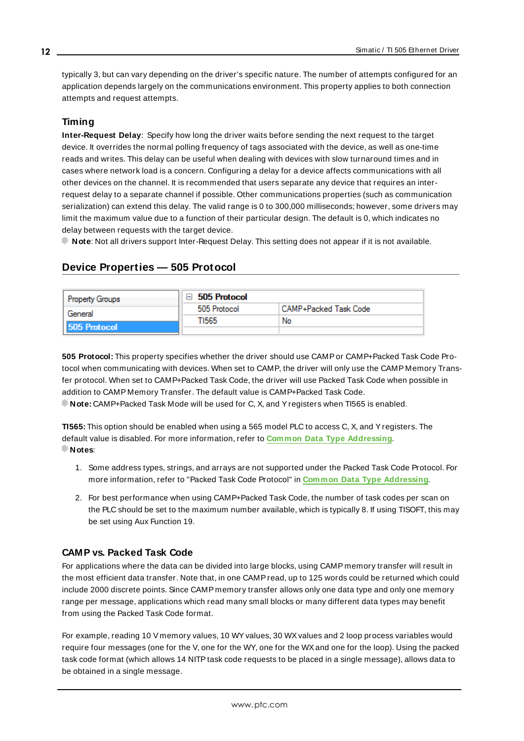<span id="page-11-1"></span>typically 3, but can vary depending on the driver's specific nature. The number of attempts configured for an application depends largely on the communications environment. This property applies to both connection attempts and request attempts.

# <span id="page-11-3"></span>**Timing**

**Inter-Request Delay**: Specify how long the driver waits before sending the next request to the target device. It overrides the normal polling frequency of tags associated with the device, as well as one-time reads and writes. This delay can be useful when dealing with devices with slow turnaround times and in cases where network load is a concern. Configuring a delay for a device affects communications with all other devices on the channel. It is recommended that users separate any device that requires an interrequest delay to a separate channel if possible. Other communications properties (such as communication serialization) can extend this delay. The valid range is 0 to 300,000 milliseconds; however, some drivers may limit the maximum value due to a function of their particular design. The default is 0, which indicates no delay between requests with the target device.

<span id="page-11-0"></span>**Note**: Not all drivers support Inter-Request Delay. This setting does not appear if it is not available.

# **Device Properties — 505 Protocol**

| <b>Property Groups</b> | 505 Protocol |                       |
|------------------------|--------------|-----------------------|
| General                | 505 Protocol | CAMP+Packed Task Code |
|                        | TI565        | No                    |
| 505 Protocol           |              |                       |

<span id="page-11-2"></span>**505 Protocol:** This property specifies whether the driver should use CAMPor CAMP+Packed Task Code Protocol when communicating with devices. When set to CAMP, the driver will only use the CAMP Memory Transfer protocol. When set to CAMP+Packed Task Code, the driver will use Packed Task Code when possible in addition to CAMP Memory Transfer. The default value is CAMP+Packed Task Code.

**Note:** CAMP+Packed Task Mode will be used for C, X, and Yregisters when TI565 is enabled.

**TI565:** This option should be enabled when using a 565 model PLC to access C, X, and Yregisters. The default value is disabled. For more information, refer to **Common Data Type [Addressing](#page-17-2)**. **Notes**:

- 1. Some address types, strings, and arrays are not supported under the Packed Task Code Protocol. For more information, refer to "Packed Task Code Protocol" in **Common Data Type [Addressing](#page-17-2)**.
- <span id="page-11-5"></span>2. For best performance when using CAMP+Packed Task Code, the number of task codes per scan on the PLC should be set to the maximum number available, which is typically 8. If using TISOFT, this may be set using Aux Function 19.

# **CAMP vs. Packed Task Code**

For applications where the data can be divided into large blocks, using CAMP memory transfer will result in the most efficient data transfer. Note that, in one CAMPread, up to 125 words could be returned which could include 2000 discrete points. Since CAMP memory transfer allows only one data type and only one memory range per message, applications which read many small blocks or many different data types may benefit from using the Packed Task Code format.

<span id="page-11-4"></span>For example, reading 10 V memory values, 10 WY values, 30 WX values and 2 loop process variables would require four messages (one for the V, one for the WY, one for the WXand one for the loop). Using the packed task code format (which allows 14 NITPtask code requests to be placed in a single message), allows data to be obtained in a single message.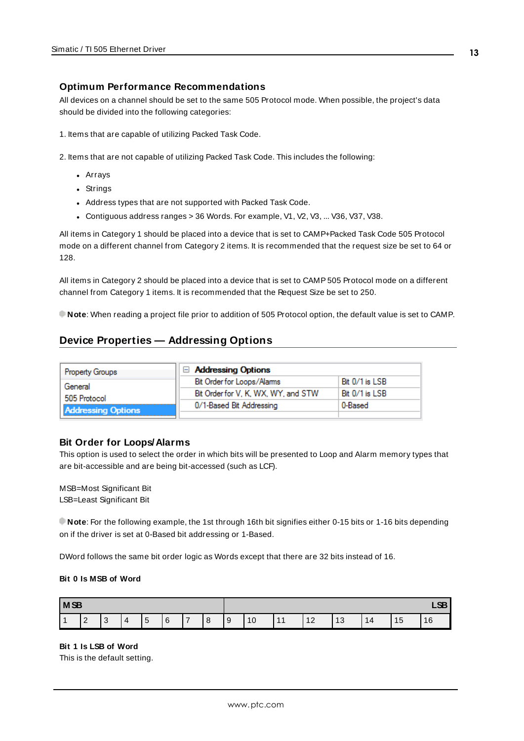### **Optimum Performance Recommendations**

All devices on a channel should be set to the same 505 Protocol mode. When possible, the project's data should be divided into the following categories:

1. Items that are capable of utilizing Packed Task Code.

2. Items that are not capable of utilizing Packed Task Code. This includes the following:

- Arrays
- Strings
- Address types that are not supported with Packed Task Code.
- Contiguous address ranges > 36 Words. For example, V1, V2, V3, ... V36, V37, V38.

All items in Category 1 should be placed into a device that is set to CAMP+Packed Task Code 505 Protocol mode on a different channel from Category 2 items. It is recommended that the request size be set to 64 or 128.

All items in Category 2 should be placed into a device that is set to CAMP505 Protocol mode on a different channel from Category 1 items. It is recommended that the Request Size be set to 250.

<span id="page-12-0"></span>**Note**: When reading a project file prior to addition of 505 Protocol option, the default value is set to CAMP.

# **Device Properties — Addressing Options**

| <b>Property Groups</b>    | Addressing Options                  |                |
|---------------------------|-------------------------------------|----------------|
| General                   | Bit Order for Loops/Alams           | Bit 0/1 is LSB |
| 505 Protocol              | Bit Order for V, K, WX, WY, and STW | Bit 0/1 is LSB |
| <b>Addressing Options</b> | 0/1-Based Bit Addressing            | 0-Based        |
|                           |                                     |                |

#### **Bit Order for Loops/Alarms**

This option is used to select the order in which bits will be presented to Loop and Alarm memory types that are bit-accessible and are being bit-accessed (such as LCF).

MSB=Most Significant Bit LSB=Least Significant Bit

**Note**: For the following example, the 1st through 16th bit signifies either 0-15 bits or 1-16 bits depending on if the driver is set at 0-Based bit addressing or 1-Based.

DWord follows the same bit order logic as Words except that there are 32 bits instead of 16.

#### **Bit 0 Is MSB of Word**

| M <sub>SB</sub> |                 |                  |                | CD.<br>Lu                      |   |               |   |   |    |             |    |           |    |                       |    |
|-----------------|-----------------|------------------|----------------|--------------------------------|---|---------------|---|---|----|-------------|----|-----------|----|-----------------------|----|
|                 | $\epsilon$<br>- | $\sim$<br>$\sim$ | $\overline{4}$ | $\overline{\phantom{0}}$<br>∣5 | 6 | $\rightarrow$ | 8 | 9 | 10 | l 44<br>. . | 12 | 10<br>ن ا | 14 | 1 <sub>5</sub><br>ن ا | 16 |

**Bit 1 Is LSB of Word**

This is the default setting.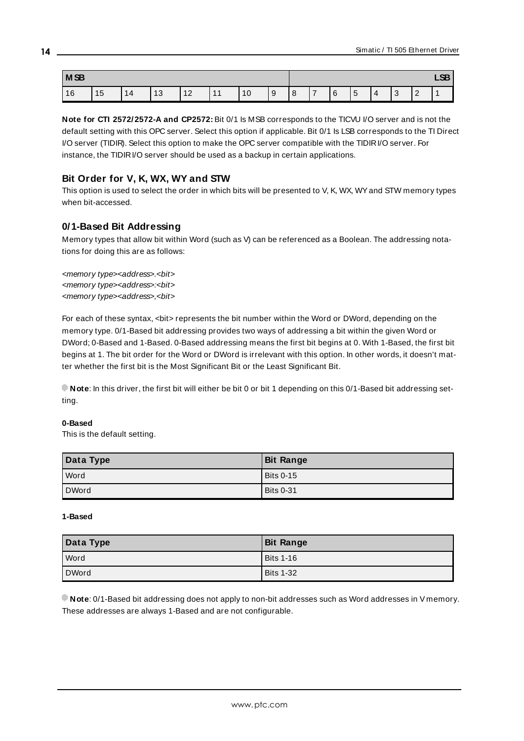| <b>MSB</b> |    |    |    |                             | <b>CD</b><br>ᇅ |           |   |   |   |   |        |  |        |               |  |
|------------|----|----|----|-----------------------------|----------------|-----------|---|---|---|---|--------|--|--------|---------------|--|
| 16<br>. v  | 15 | 14 | 13 | $\Lambda$<br>$\overline{2}$ | л.             | AC<br>1 U | 9 | 8 | - | 6 | ∽<br>J |  | ◠<br>ັ | ◠<br><u>_</u> |  |

**Note for CTI 2572/2572-A and CP2572:** Bit 0/1 Is MSB corresponds to the TICVU I/O server and is not the default setting with this OPC server. Select this option if applicable. Bit 0/1 Is LSB corresponds to the TI Direct I/O server (TIDIR). Select this option to make the OPC server compatible with the TIDIRI/O server. For instance, the TIDIRI/O server should be used as a backup in certain applications.

# **Bit Order for V, K, WX, WY and STW**

This option is used to select the order in which bits will be presented to V, K, WX, WY and STW memory types when bit-accessed.

# **0/1-Based Bit Addressing**

Memory types that allow bit within Word (such as V) can be referenced as a Boolean. The addressing notations for doing this are as follows:

<memory type><address>.<bit> <memory type><address>:<bit> <memory type><address>.<br/>>bit>

For each of these syntax, <bit> represents the bit number within the Word or DWord, depending on the memory type. 0/1-Based bit addressing provides two ways of addressing a bit within the given Word or DWord; 0-Based and 1-Based. 0-Based addressing means the first bit begins at 0. With 1-Based, the first bit begins at 1. The bit order for the Word or DWord is irrelevant with this option. In other words, it doesn't matter whether the first bit is the Most Significant Bit or the Least Significant Bit.

**Note**: In this driver, the first bit will either be bit 0 or bit 1 depending on this 0/1-Based bit addressing setting.

#### **0-Based**

This is the default setting.

| Data Type | <b>Bit Range</b> |
|-----------|------------------|
| Word      | Bits 0-15        |
| DWord     | l Bits 0-31      |

#### **1-Based**

| Data Type    | <b>Bit Range</b> |
|--------------|------------------|
| l Word       | Bits 1-16        |
| <b>DWord</b> | <b>Bits 1-32</b> |

**Note:** 0/1-Based bit addressing does not apply to non-bit addresses such as Word addresses in V memory. These addresses are always 1-Based and are not configurable.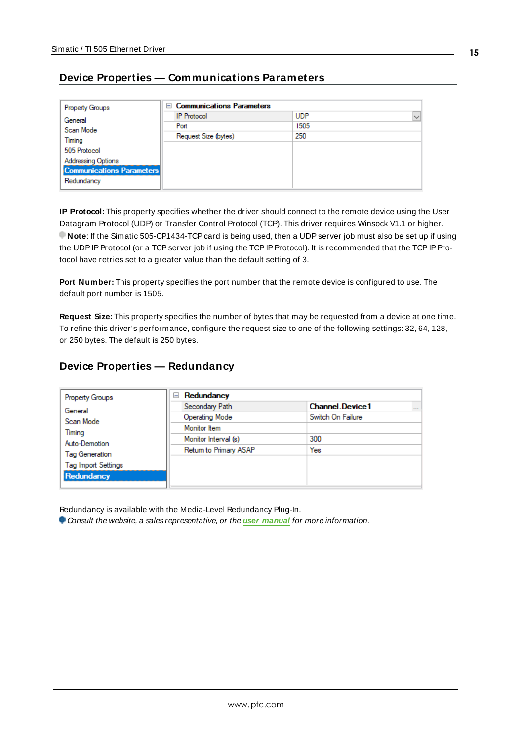# <span id="page-14-0"></span>**Device Properties — Communications Parameters**

| <b>Property Groups</b>           | <b>Communications Parameters</b><br>$-$ |            |              |
|----------------------------------|-----------------------------------------|------------|--------------|
| General                          | <b>IP Protocol</b>                      | <b>UDP</b> | $\checkmark$ |
| Scan Mode                        | Port                                    | 1505       |              |
| Timing                           | Request Size (bytes)                    | 250        |              |
| 505 Protocol                     |                                         |            |              |
| Addressing Options               |                                         |            |              |
| <b>Communications Parameters</b> |                                         |            |              |
| Redundancy                       |                                         |            |              |

**IP Protocol:** This property specifies whether the driver should connect to the remote device using the User Datagram Protocol (UDP) or Transfer Control Protocol (TCP). This driver requires Winsock V1.1 or higher. **Note:** If the Simatic 505-CP1434-TCP card is being used, then a UDP server job must also be set up if using the UDPIP Protocol (or a TCP server job if using the TCPIP Protocol). It is recommended that the TCPIP Protocol have retries set to a greater value than the default setting of 3.

**Port Number:** This property specifies the port number that the remote device is configured to use. The default port number is 1505.

**Request Size:** This property specifies the number of bytes that may be requested from a device at one time. To refine this driver's performance, configure the request size to one of the following settings: 32, 64, 128, or 250 bytes. The default is 250 bytes.

# <span id="page-14-1"></span>**Device Properties — Redundancy**

| <b>Channel Device1</b><br>$\cdots$<br>Switch On Failure |
|---------------------------------------------------------|
|                                                         |
|                                                         |
|                                                         |
| 300                                                     |
| Yes                                                     |
|                                                         |
|                                                         |
|                                                         |

Redundancy is available with the Media-Level Redundancy Plug-In.

Consult the website, a sales representative, or the **user [manual](https://www.kepware.com/getattachment/35461efd-b53a-4219-a109-a89fad20b230/media-level-redundancy-manual.pdf)** for more information.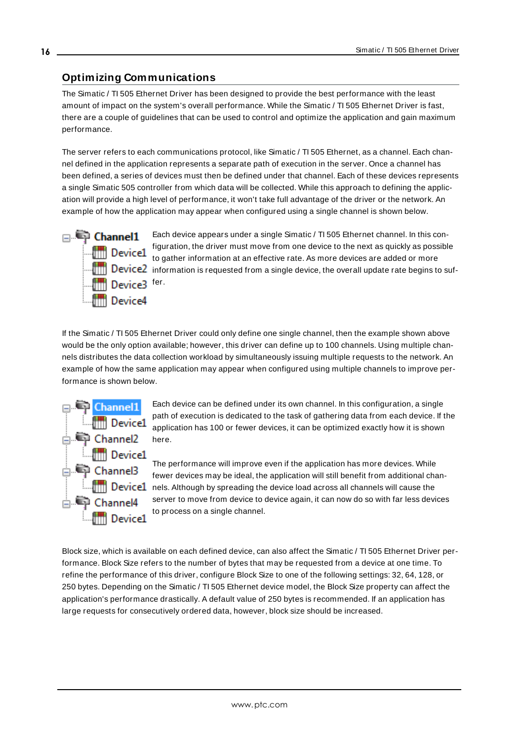# <span id="page-15-0"></span>**Optimizing Communications**

The Simatic / TI 505 Ethernet Driver has been designed to provide the best performance with the least amount of impact on the system's overall performance. While the Simatic / TI 505 Ethernet Driver is fast, there are a couple of guidelines that can be used to control and optimize the application and gain maximum performance.

The server refers to each communications protocol, like Simatic / TI 505 Ethernet, as a channel. Each channel defined in the application represents a separate path of execution in the server. Once a channel has been defined, a series of devices must then be defined under that channel. Each of these devices represents a single Simatic 505 controller from which data will be collected. While this approach to defining the application will provide a high level of performance, it won't take full advantage of the driver or the network. An example of how the application may appear when configured using a single channel is shown below.



Each device appears under a single Simatic / TI 505 Ethernet channel. In this configuration, the driver must move from one device to the next as quickly as possible to gather information at an effective rate. As more devices are added or more **information** is requested from a single device, the overall update rate begins to suf-

If the Simatic / TI 505 Ethernet Driver could only define one single channel, then the example shown above would be the only option available; however, this driver can define up to 100 channels. Using multiple channels distributes the data collection workload by simultaneously issuing multiple requests to the network. An example of how the same application may appear when configured using multiple channels to improve performance is shown below.



Each device can be defined under its own channel. In this configuration, a single path of execution is dedicated to the task of gathering data from each device. If the application has 100 or fewer devices, it can be optimized exactly how it is shown here.

The performance will improve even if the application has more devices. While fewer devices may be ideal, the application will still benefit from additional chan**new Device1** nels. Although by spreading the device load across all channels will cause the server to move from device to device again, it can now do so with far less devices to process on a single channel.

Block size, which is available on each defined device, can also affect the Simatic / TI 505 Ethernet Driver performance. Block Size refers to the number of bytes that may be requested from a device at one time. To refine the performance of this driver, configure Block Size to one of the following settings: 32, 64, 128, or 250 bytes. Depending on the Simatic / TI 505 Ethernet device model, the Block Size property can affect the application's performance drastically. A default value of 250 bytes is recommended. If an application has large requests for consecutively ordered data, however, block size should be increased.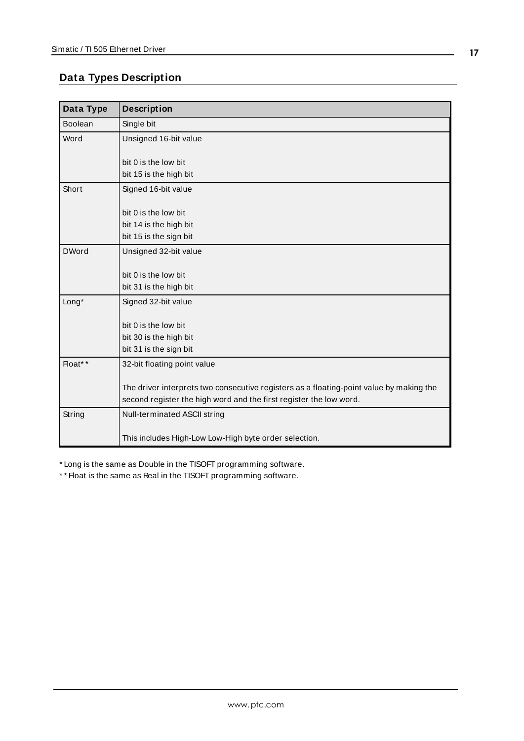# <span id="page-16-0"></span>**Data Types Description**

<span id="page-16-6"></span><span id="page-16-5"></span><span id="page-16-2"></span><span id="page-16-1"></span>

| Data Type    | <b>Description</b>                                                                      |
|--------------|-----------------------------------------------------------------------------------------|
| Boolean      | Single bit                                                                              |
| Word         | Unsigned 16-bit value                                                                   |
|              |                                                                                         |
|              | bit 0 is the low bit                                                                    |
|              | bit 15 is the high bit                                                                  |
| Short        | Signed 16-bit value                                                                     |
|              | bit 0 is the low bit                                                                    |
|              | bit 14 is the high bit                                                                  |
|              | bit 15 is the sign bit                                                                  |
| <b>DWord</b> | Unsigned 32-bit value                                                                   |
|              |                                                                                         |
|              | bit 0 is the low bit                                                                    |
|              | bit 31 is the high bit                                                                  |
| Long*        | Signed 32-bit value                                                                     |
|              |                                                                                         |
|              | bit 0 is the low bit                                                                    |
|              | bit 30 is the high bit                                                                  |
|              | bit 31 is the sign bit                                                                  |
| Float**      | 32-bit floating point value                                                             |
|              |                                                                                         |
|              | The driver interprets two consecutive registers as a floating-point value by making the |
|              | second register the high word and the first register the low word.                      |
| String       | Null-terminated ASCII string                                                            |
|              |                                                                                         |
|              | This includes High-Low Low-High byte order selection.                                   |

<span id="page-16-4"></span><span id="page-16-3"></span>\* Long is the same as Double in the TISOFT programming software.

\* \* Float is the same as Real in the TISOFT programming software.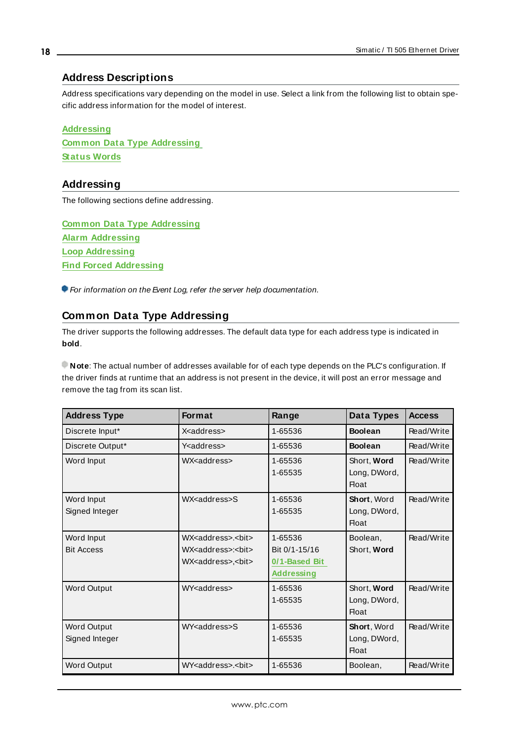### <span id="page-17-0"></span>**Address Descriptions**

Address specifications vary depending on the model in use. Select a link from the following list to obtain specific address information for the model of interest.

**[Addressing](#page-17-1) Common Data Type [Addressing](#page-17-2) [Status](#page-23-0) Words**

#### <span id="page-17-1"></span>**Addressing**

The following sections define addressing.

**Common Data Type [Addressing](#page-17-2) Alarm [Addressing](#page-30-0) Loop [Addressing](#page-34-0) Find Forced [Addressing](#page-41-0)**

<span id="page-17-2"></span>For information on the Event Log, refer the server help documentation.

# **Common Data Type Addressing**

The driver supports the following addresses. The default data type for each address type is indicated in **bold**.

**Note**: The actual number of addresses available for of each type depends on the PLC's configuration. If the driver finds at runtime that an address is not present in the device, it will post an error message and remove the tag from its scan list.

| <b>Address Type</b>             | <b>Format</b>                                                                                                       | Range                                                          | Data Types                                         | <b>Access</b> |
|---------------------------------|---------------------------------------------------------------------------------------------------------------------|----------------------------------------------------------------|----------------------------------------------------|---------------|
| Discrete Input*                 | X <address></address>                                                                                               | 1-65536                                                        | <b>Boolean</b>                                     | Read/Write    |
| Discrete Output*                | Y <address></address>                                                                                               | 1-65536                                                        | <b>Boolean</b>                                     | Read/Write    |
| Word Input                      | WX <address></address>                                                                                              | 1-65536<br>1-65535                                             | Short, Word<br>Long, DWord,<br><b>Float</b>        | Read/Write    |
| Word Input<br>Signed Integer    | WX <address>S</address>                                                                                             | 1-65536<br>1-65535                                             | Short, Word<br>Long, DWord,<br><b>Float</b>        | Read/Write    |
| Word Input<br><b>Bit Access</b> | WX <address>.<br/>&gt;bit&gt;<br/>WX<address>:<bit><br/>WX<address>,<bit></bit></address></bit></address></address> | 1-65536<br>Bit 0/1-15/16<br>0/1-Based Bit<br><b>Addressing</b> | Boolean,<br>Short, Word                            | Read/Write    |
| Word Output                     | WY <address></address>                                                                                              | 1-65536<br>1-65535                                             | Short, Word<br>Long, DWord,<br><b>Float</b>        | Read/Write    |
| Word Output<br>Signed Integer   | WY <address>S</address>                                                                                             | 1-65536<br>1-65535                                             | <b>Short, Word</b><br>Long, DWord,<br><b>Float</b> | Read/Write    |
| Word Output                     | WY <address>.<bit></bit></address>                                                                                  | 1-65536                                                        | Boolean,                                           | Read/Write    |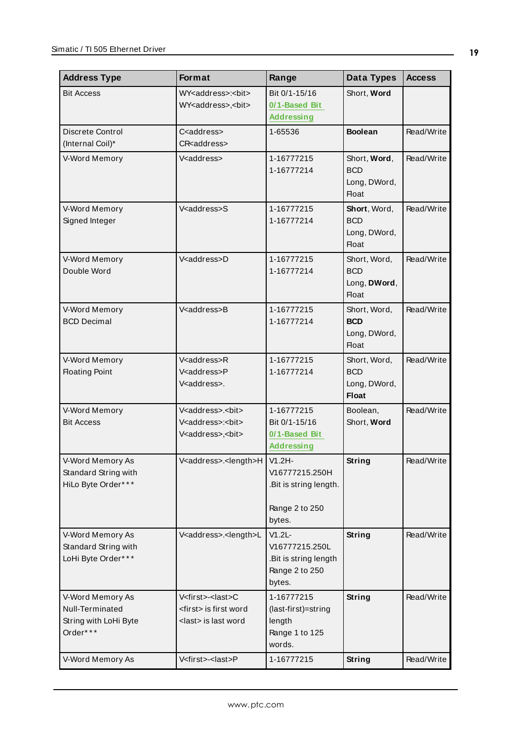| <b>Address Type</b>                                                      | Format                                                                                                      | Range                                                                            | Data Types                                                 | <b>Access</b> |
|--------------------------------------------------------------------------|-------------------------------------------------------------------------------------------------------------|----------------------------------------------------------------------------------|------------------------------------------------------------|---------------|
| <b>Bit Access</b>                                                        | WY <address>:<bit><br/>WY<address>,<bit></bit></address></bit></address>                                    | Bit 0/1-15/16<br>0/1-Based Bit<br><b>Addressing</b>                              | Short, Word                                                |               |
| Discrete Control<br>(Internal Coil)*                                     | C <address><br/>CR<address></address></address>                                                             | 1-65536                                                                          | <b>Boolean</b>                                             | Read/Write    |
| V-Word Memory                                                            | V <address></address>                                                                                       | 1-16777215<br>1-16777214                                                         | Short, Word,<br><b>BCD</b><br>Long, DWord,<br><b>Float</b> | Read/Write    |
| V-Word Memory<br>Signed Integer                                          | V <address>S</address>                                                                                      | 1-16777215<br>1-16777214                                                         | Short, Word,<br><b>BCD</b><br>Long, DWord,<br><b>Float</b> | Read/Write    |
| V-Word Memory<br>Double Word                                             | V <address>D</address>                                                                                      | 1-16777215<br>1-16777214                                                         | Short, Word,<br><b>BCD</b><br>Long, DWord,<br><b>Float</b> | Read/Write    |
| V-Word Memory<br><b>BCD Decimal</b>                                      | V <address>B</address>                                                                                      | 1-16777215<br>1-16777214                                                         | Short, Word,<br><b>BCD</b><br>Long, DWord,<br><b>Float</b> | Read/Write    |
| V-Word Memory<br><b>Floating Point</b>                                   | V <address>R<br/>V<address>P<br/>V<address>.</address></address></address>                                  | 1-16777215<br>1-16777214                                                         | Short, Word,<br><b>BCD</b><br>Long, DWord,<br><b>Float</b> | Read/Write    |
| V-Word Memory<br><b>Bit Access</b>                                       | V <address>.<bit><br/>V<address>:<bit><br/>V<address>,<bit></bit></address></bit></address></bit></address> | 1-16777215<br>Bit 0/1-15/16<br>0/1-Based Bit<br><b>Addressing</b>                | Boolean,<br>Short, Word                                    | Read/Write    |
| V-Word Memory As<br>Standard String with<br>HiLo Byte Order***           | V <address>.<length>H   V1.2H-</length></address>                                                           | V16777215.250H<br>.Bit is string length.<br>Range 2 to 250<br>bytes.             | String                                                     | Read/Write    |
| V-Word Memory As<br>Standard String with<br>LoHi Byte Order***           | V <address>.<length>L</length></address>                                                                    | $V1.2L -$<br>V16777215.250L<br>.Bit is string length<br>Range 2 to 250<br>bytes. | <b>String</b>                                              | Read/Write    |
| V-Word Memory As<br>Null-Terminated<br>String with LoHi Byte<br>Order*** | V <first>-<last>C<br/><first> is first word<br/><last> is last word</last></first></last></first>           | 1-16777215<br>(last-first)=string<br>length<br>Range 1 to 125<br>words.          | <b>String</b>                                              | Read/Write    |
| V-Word Memory As                                                         | V <first>-<last>P</last></first>                                                                            | 1-16777215                                                                       | <b>String</b>                                              | Read/Write    |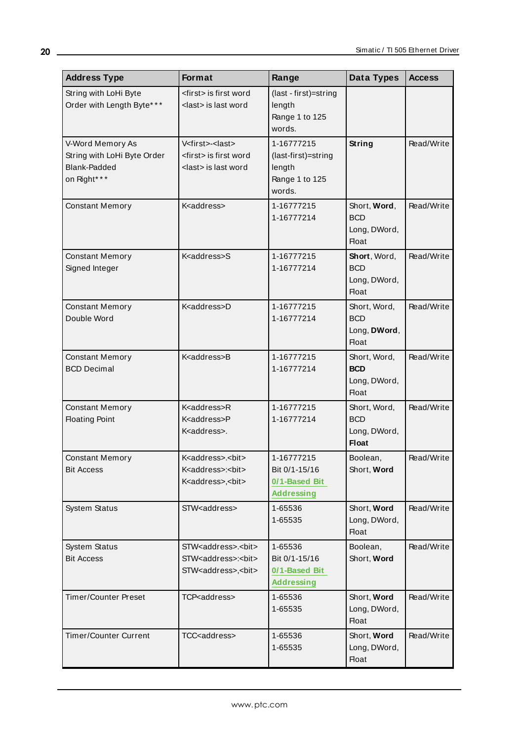| <b>Address Type</b>                                                                    | Format                                                                                                            | Range                                                                   | Data Types                                                 | <b>Access</b> |
|----------------------------------------------------------------------------------------|-------------------------------------------------------------------------------------------------------------------|-------------------------------------------------------------------------|------------------------------------------------------------|---------------|
| String with LoHi Byte<br>Order with Length Byte***                                     | <first> is first word<br/><last> is last word</last></first>                                                      | (last - first)=string<br>length<br>Range 1 to 125<br>words.             |                                                            |               |
| V-Word Memory As<br>String with LoHi Byte Order<br><b>Blank-Padded</b><br>on Right* ** | V <first>-<last><br/><first> is first word<br/><last> is last word</last></first></last></first>                  | 1-16777215<br>(last-first)=string<br>length<br>Range 1 to 125<br>words. | String                                                     | Read/Write    |
| <b>Constant Memory</b>                                                                 | K <address></address>                                                                                             | 1-16777215<br>1-16777214                                                | Short, Word,<br><b>BCD</b><br>Long, DWord,<br><b>Float</b> | Read/Write    |
| <b>Constant Memory</b><br>Signed Integer                                               | K <address>S</address>                                                                                            | 1-16777215<br>1-16777214                                                | Short, Word,<br><b>BCD</b><br>Long, DWord,<br>Float        | Read/Write    |
| <b>Constant Memory</b><br>Double Word                                                  | K <address>D</address>                                                                                            | 1-16777215<br>1-16777214                                                | Short, Word,<br><b>BCD</b><br>Long, DWord,<br><b>Float</b> | Read/Write    |
| <b>Constant Memory</b><br><b>BCD Decimal</b>                                           | K <address>B</address>                                                                                            | 1-16777215<br>1-16777214                                                | Short, Word,<br><b>BCD</b><br>Long, DWord,<br><b>Float</b> | Read/Write    |
| <b>Constant Memory</b><br><b>Floating Point</b>                                        | K <address>R<br/>K<address>P<br/>K<address>.</address></address></address>                                        | 1-16777215<br>1-16777214                                                | Short, Word,<br><b>BCD</b><br>Long, DWord,<br><b>Float</b> | Read/Write    |
| <b>Constant Memory</b><br><b>Bit Access</b>                                            | K <address>.<bit><br/>K<address>:<bit><br/>K<address>,<bit></bit></address></bit></address></bit></address>       | 1-16777215<br>Bit 0/1-15/16<br>0/1-Based Bit<br><b>Addressing</b>       | Boolean,<br>Short, Word                                    | Read/Write    |
| System Status                                                                          | STW <address></address>                                                                                           | 1-65536<br>1-65535                                                      | Short, Word<br>Long, DWord,<br><b>Float</b>                | Read/Write    |
| System Status<br><b>Bit Access</b>                                                     | STW <address>.<bit><br/>STW<address>:<bit><br/>STW<address>,<bit></bit></address></bit></address></bit></address> | 1-65536<br>Bit 0/1-15/16<br>0/1-Based Bit<br><b>Addressing</b>          | Boolean,<br>Short, Word                                    | Read/Write    |
| <b>Timer/Counter Preset</b>                                                            | TCP <address></address>                                                                                           | 1-65536<br>1-65535                                                      | Short, Word<br>Long, DWord,<br>Float                       | Read/Write    |
| <b>Timer/Counter Current</b>                                                           | TCC <address></address>                                                                                           | 1-65536<br>1-65535                                                      | Short, Word<br>Long, DWord,<br>Float                       | Read/Write    |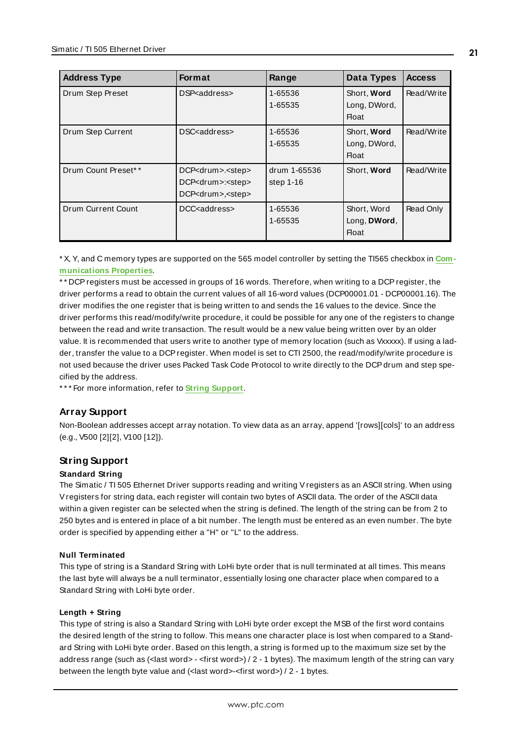| <b>Address Type</b> | <b>Format</b>                                                                                         | Range                       | Data Types                           | <b>Access</b> |
|---------------------|-------------------------------------------------------------------------------------------------------|-----------------------------|--------------------------------------|---------------|
| Drum Step Preset    | DSP <address></address>                                                                               | 1-65536<br>1-65535          | Short, Word<br>Long, DWord,<br>Float | Read/Write    |
| Drum Step Current   | DSC <address></address>                                                                               | 1-65536<br>1-65535          | Short, Word<br>Long, DWord,<br>Float | Read/Write    |
| Drum Count Preset** | DCP <drum>.<step><br/>DCP<drum>:<step><br/>DCP<drum>,<step></step></drum></step></drum></step></drum> | drum 1-65536<br>step $1-16$ | Short, Word                          | Read/Write    |
| Drum Current Count  | DCC <address></address>                                                                               | 1-65536<br>1-65535          | Short, Word<br>Long, DWord,<br>Float | Read Only     |

\* X, Y, and C memory types are supported on the 565 model controller by setting the TI565 checkbox in **[Com](#page-14-0)[munications](#page-14-0) Properties**.

\* \* DCPregisters must be accessed in groups of 16 words. Therefore, when writing to a DCPregister, the driver performs a read to obtain the current values of all 16-word values (DCP00001.01 - DCP00001.16). The driver modifies the one register that is being written to and sends the 16 values to the device. Since the driver performs this read/modify/write procedure, it could be possible for any one of the registers to change between the read and write transaction. The result would be a new value being written over by an older value. It is recommended that users write to another type of memory location (such as Vxxxxx). If using a ladder, transfer the value to a DCPregister. When model is set to CTI 2500, the read/modify/write procedure is not used because the driver uses Packed Task Code Protocol to write directly to the DCP drum and step specified by the address.

\* \* \* For more information, refer to **String [Support](#page-20-0)**.

# **Array Support**

<span id="page-20-0"></span>Non-Boolean addresses accept array notation. To view data as an array, append '[rows][cols]' to an address (e.g., V500 [2][2], V100 [12]).

# **String Support**

#### **Standard String**

The Simatic / TI 505 Ethernet Driver supports reading and writing Vregisters as an ASCII string. When using Vregisters for string data, each register will contain two bytes of ASCII data. The order of the ASCII data within a given register can be selected when the string is defined. The length of the string can be from 2 to 250 bytes and is entered in place of a bit number. The length must be entered as an even number. The byte order is specified by appending either a "H" or "L" to the address.

#### **Null Terminated**

This type of string is a Standard String with LoHi byte order that is null terminated at all times. This means the last byte will always be a null terminator, essentially losing one character place when compared to a Standard String with LoHi byte order.

#### **Length + String**

This type of string is also a Standard String with LoHi byte order except the MSB of the first word contains the desired length of the string to follow. This means one character place is lost when compared to a Standard String with LoHi byte order. Based on this length, a string is formed up to the maximum size set by the address range (such as (<last word> - <first word>) / 2 - 1 bytes). The maximum length of the string can vary between the length byte value and (<last word>-<first word>) / 2 - 1 bytes.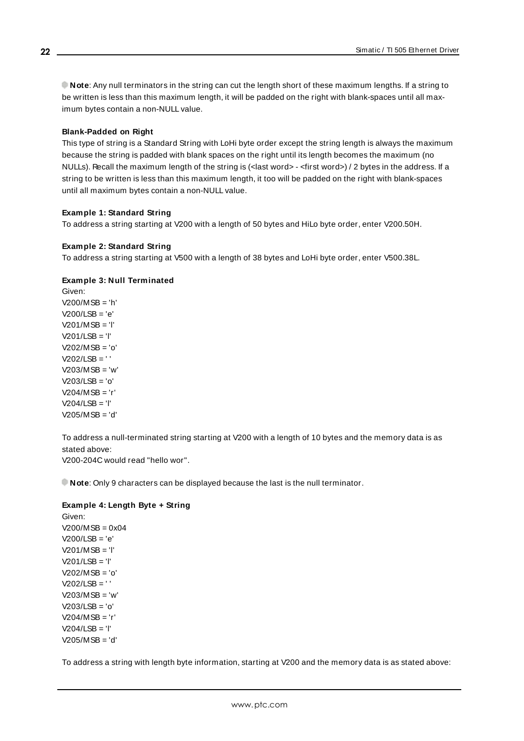**Note**: Any null terminators in the string can cut the length short of these maximum lengths. If a string to be written is less than this maximum length, it will be padded on the right with blank-spaces until all maximum bytes contain a non-NULL value.

#### **Blank-Padded on Right**

This type of string is a Standard String with LoHi byte order except the string length is always the maximum because the string is padded with blank spaces on the right until its length becomes the maximum (no NULLs). Recall the maximum length of the string is (<last word> - <first word>) / 2 bytes in the address. If a string to be written is less than this maximum length, it too will be padded on the right with blank-spaces until all maximum bytes contain a non-NULL value.

#### **Example 1: Standard String**

To address a string starting at V200 with a length of 50 bytes and HiLo byte order, enter V200.50H.

#### **Example 2: Standard String**

To address a string starting at V500 with a length of 38 bytes and LoHi byte order, enter V500.38L.

#### **Example 3: Null Terminated**

Given: V200/MSB = 'h' V200/LSB = 'e' V201/MSB = 'l' V201/LSB = 'l' V202/MSB = 'o'  $V202/LSB = ' '$ V203/MSB = 'w' V203/LSB = 'o' V204/MSB = 'r'  $V204/1$  SB = 'l' V205/MSB = 'd'

To address a null-terminated string starting at V200 with a length of 10 bytes and the memory data is as stated above:

V200-204C would read "hello wor".

**Note**: Only 9 characters can be displayed because the last is the null terminator.

#### **Example 4: Length Byte + String**

Given:  $V200/MSB = 0x04$ V200/LSB = 'e' V201/MSB = 'l' V201/LSB = 'l' V202/MSB = 'o' V202/LSB = ' '  $V203/MSB = 'w'$  $V203/LSB = 'o'$ V204/MSB = 'r' V204/LSB = 'l' V205/MSB = 'd'

To address a string with length byte information, starting at V200 and the memory data is as stated above:

**22**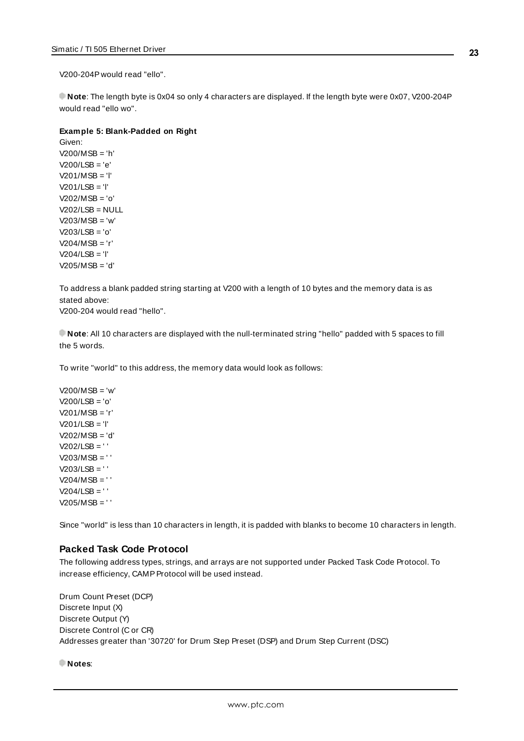V200-204P would read "ello".

**Note**: The length byte is 0x04 so only 4 characters are displayed. If the length byte were 0x07, V200-204P would read "ello wo".

#### **Example 5: Blank-Padded on Right**

Given: V200/MSB = 'h' V200/LSB = 'e' V201/MSB = 'l' V201/LSB = 'l' V202/MSB = 'o'  $V202/LSB = NULL$ V203/MSB = 'w' V203/LSB = 'o' V204/MSB = 'r' V204/LSB = 'l' V205/MSB = 'd'

To address a blank padded string starting at V200 with a length of 10 bytes and the memory data is as stated above:

V200-204 would read "hello".

**Note**: All 10 characters are displayed with the null-terminated string "hello" padded with 5 spaces to fill the 5 words.

To write "world" to this address, the memory data would look as follows:

V200/MSB = 'w' V200/LSB = 'o' V201/MSB = 'r' V201/LSB = 'l' V202/MSB = 'd' V202/LSB = ' ' V203/MSB = ' ' V203/LSB = ' '  $V204/MSB = ' '$  $V204/LSB = ' '$ V205/MSB = ' '

Since "world" is less than 10 characters in length, it is padded with blanks to become 10 characters in length.

#### **Packed Task Code Protocol**

The following address types, strings, and arrays are not supported under Packed Task Code Protocol. To increase efficiency, CAMP Protocol will be used instead.

Drum Count Preset (DCP) Discrete Input (X) Discrete Output (Y) Discrete Control (C or CR) Addresses greater than '30720' for Drum Step Preset (DSP) and Drum Step Current (DSC)

**Notes**: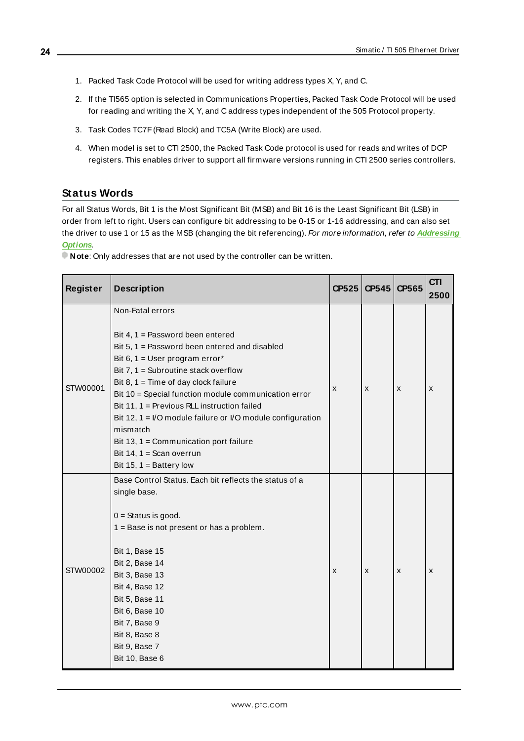- 1. Packed Task Code Protocol will be used for writing address types X, Y, and C.
- 2. If the TI565 option is selected in Communications Properties, Packed Task Code Protocol will be used for reading and writing the X, Y, and C address types independent of the 505 Protocol property.
- 3. Task Codes TC7F(Read Block) and TC5A (Write Block) are used.
- 4. When model is set to CTI 2500, the Packed Task Code protocol is used for reads and writes of DCP registers. This enables driver to support all firmware versions running in CTI 2500 series controllers.

# <span id="page-23-0"></span>**Status Words**

For all Status Words, Bit 1 is the Most Significant Bit (MSB) and Bit 16 is the Least Significant Bit (LSB) in order from left to right. Users can configure bit addressing to be 0-15 or 1-16 addressing, and can also set the driver to use 1 or 15 as the MSB (changing the bit referencing). For more information, refer to **[Addressing](#page-12-0) [Options](#page-12-0)**.

**Note:** Only addresses that are not used by the controller can be written.

| <b>Register</b> | <b>Description</b>                                                                                                                                                                                                                                                                                                                                                                                                                                                                                                | CP525 | CP545 | CP565 | <b>CTI</b><br>2500 |
|-----------------|-------------------------------------------------------------------------------------------------------------------------------------------------------------------------------------------------------------------------------------------------------------------------------------------------------------------------------------------------------------------------------------------------------------------------------------------------------------------------------------------------------------------|-------|-------|-------|--------------------|
| STW00001        | Non-Fatal errors<br>Bit 4, 1 = Password been entered<br>Bit 5, 1 = Password been entered and disabled<br>Bit 6, 1 = User program error*<br>Bit 7, $1 =$ Subroutine stack overflow<br>Bit $8, 1$ = Time of day clock failure<br>Bit 10 = Special function module communication error<br>Bit 11, 1 = Previous RLL instruction failed<br>Bit 12, 1 = I/O module failure or I/O module configuration<br>mismatch<br>Bit 13, 1 = Communication port failure<br>Bit 14, $1 =$ Scan overrun<br>Bit 15, $1 =$ Battery low | X     | X     | X     | X                  |
| STW00002        | Base Control Status. Each bit reflects the status of a<br>single base.<br>$0 =$ Status is good.<br>1 = Base is not present or has a problem.<br><b>Bit 1, Base 15</b><br>Bit 2, Base 14<br>Bit 3, Base 13<br>Bit 4, Base 12<br>Bit 5, Base 11<br>Bit 6, Base 10<br>Bit 7, Base 9<br>Bit 8, Base 8<br>Bit 9, Base 7<br>Bit 10, Base 6                                                                                                                                                                              | X     | X     | X     | x                  |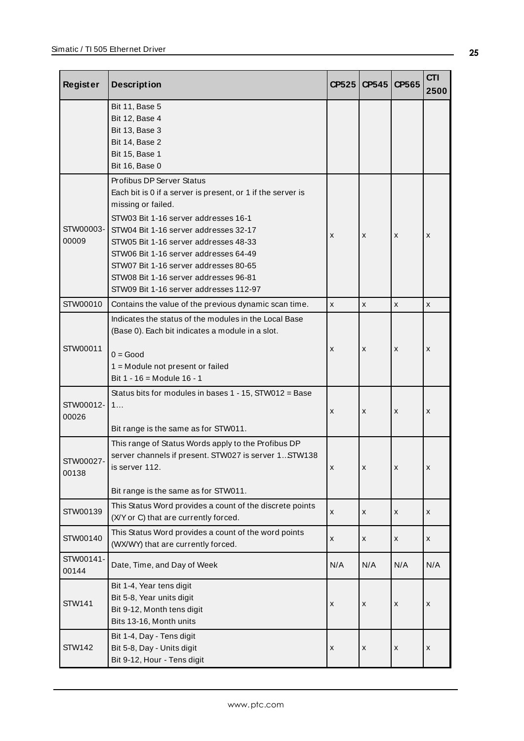| <b>Register</b>    | <b>Description</b>                                                                                                                                                                                                                                                                                                                                                                                                      |     | CP545<br>CP525 | CP565 | <b>CTI</b><br>2500 |
|--------------------|-------------------------------------------------------------------------------------------------------------------------------------------------------------------------------------------------------------------------------------------------------------------------------------------------------------------------------------------------------------------------------------------------------------------------|-----|----------------|-------|--------------------|
|                    | Bit 11, Base 5<br>Bit 12, Base 4<br>Bit 13, Base 3<br>Bit 14, Base 2<br>Bit 15, Base 1<br>Bit 16, Base 0                                                                                                                                                                                                                                                                                                                |     |                |       |                    |
| STW00003-<br>00009 | Profibus DP Server Status<br>Each bit is 0 if a server is present, or 1 if the server is<br>missing or failed.<br>STW03 Bit 1-16 server addresses 16-1<br>STW04 Bit 1-16 server addresses 32-17<br>X<br>X<br>STW05 Bit 1-16 server addresses 48-33<br>STW06 Bit 1-16 server addresses 64-49<br>STW07 Bit 1-16 server addresses 80-65<br>STW08 Bit 1-16 server addresses 96-81<br>STW09 Bit 1-16 server addresses 112-97 |     | X              | X     |                    |
| STW00010           | Contains the value of the previous dynamic scan time.                                                                                                                                                                                                                                                                                                                                                                   | X   | x              | X     | x                  |
| STW00011           | Indicates the status of the modules in the Local Base<br>(Base 0). Each bit indicates a module in a slot.<br>$0 = Good$<br>1 = Module not present or failed<br>Bit 1 - 16 = Module 16 - 1                                                                                                                                                                                                                               | X   | X              | X     | X                  |
| STW00012-<br>00026 | Status bits for modules in bases 1 - 15, STW012 = Base<br>1<br>Bit range is the same as for STW011.                                                                                                                                                                                                                                                                                                                     | X   | x              | x     | X                  |
| STW00027-<br>00138 | This range of Status Words apply to the Profibus DP<br>server channels if present. STW027 is server 1 STW138<br>is server 112.<br>Bit range is the same as for STW011.                                                                                                                                                                                                                                                  | x   | x              | x     | X                  |
| STW00139           | This Status Word provides a count of the discrete points<br>(X/Y or C) that are currently forced.                                                                                                                                                                                                                                                                                                                       | x   | X              | X     | x                  |
| STW00140           | This Status Word provides a count of the word points<br>(WX/WY) that are currently forced.                                                                                                                                                                                                                                                                                                                              | x   | x              | x     | x                  |
| STW00141-<br>00144 | Date, Time, and Day of Week                                                                                                                                                                                                                                                                                                                                                                                             | N/A | N/A            | N/A   | N/A                |
| <b>STW141</b>      | Bit 1-4, Year tens digit<br>Bit 5-8, Year units digit<br>Bit 9-12, Month tens digit<br>Bits 13-16, Month units                                                                                                                                                                                                                                                                                                          | X   | x              | х     | X                  |
| <b>STW142</b>      | Bit 1-4, Day - Tens digit<br>Bit 5-8, Day - Units digit<br>Bit 9-12, Hour - Tens digit                                                                                                                                                                                                                                                                                                                                  | X   | X              | х     | X                  |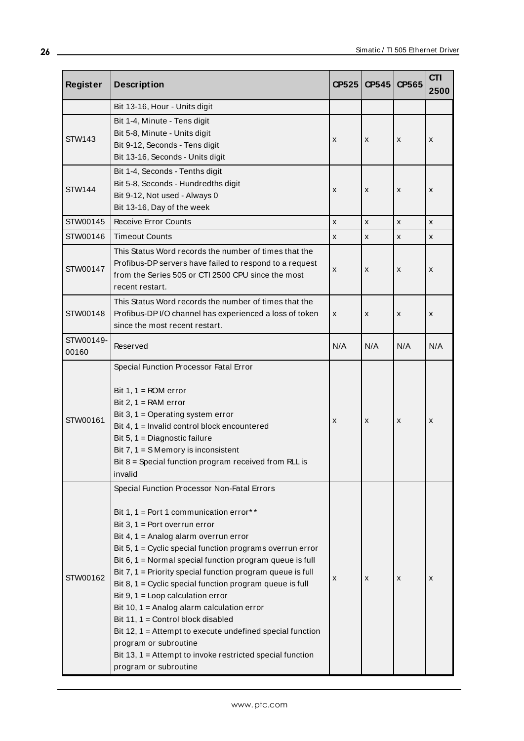| <b>Register</b>    | <b>Description</b>                                                                                                                                                                                                                                                                                                                                                                                                                                                                                                                                                                                                                                                                                                                   | CP525              | CP545 | CP565              | <b>CTI</b><br>2500 |
|--------------------|--------------------------------------------------------------------------------------------------------------------------------------------------------------------------------------------------------------------------------------------------------------------------------------------------------------------------------------------------------------------------------------------------------------------------------------------------------------------------------------------------------------------------------------------------------------------------------------------------------------------------------------------------------------------------------------------------------------------------------------|--------------------|-------|--------------------|--------------------|
|                    | Bit 13-16, Hour - Units digit                                                                                                                                                                                                                                                                                                                                                                                                                                                                                                                                                                                                                                                                                                        |                    |       |                    |                    |
| <b>STW143</b>      | Bit 1-4, Minute - Tens digit<br>Bit 5-8, Minute - Units digit<br>X<br>x<br>X<br>Bit 9-12, Seconds - Tens digit<br>Bit 13-16, Seconds - Units digit                                                                                                                                                                                                                                                                                                                                                                                                                                                                                                                                                                                   |                    |       | x                  |                    |
| <b>STW144</b>      | Bit 1-4, Seconds - Tenths digit<br>Bit 5-8, Seconds - Hundredths digit<br>X<br>x<br>Bit 9-12, Not used - Always 0<br>Bit 13-16, Day of the week                                                                                                                                                                                                                                                                                                                                                                                                                                                                                                                                                                                      |                    |       | x                  | x                  |
| STW00145           | Receive Error Counts                                                                                                                                                                                                                                                                                                                                                                                                                                                                                                                                                                                                                                                                                                                 | $\pmb{\mathsf{x}}$ | X     | $\pmb{\mathsf{x}}$ | X                  |
| STW00146           | <b>Timeout Counts</b>                                                                                                                                                                                                                                                                                                                                                                                                                                                                                                                                                                                                                                                                                                                | X                  | x     | X                  | x                  |
| STW00147           | This Status Word records the number of times that the<br>Profibus-DP servers have failed to respond to a request<br>X<br>x<br>х<br>from the Series 505 or CTI 2500 CPU since the most<br>recent restart.                                                                                                                                                                                                                                                                                                                                                                                                                                                                                                                             |                    |       | x                  |                    |
| STW00148           | This Status Word records the number of times that the<br>Profibus-DP I/O channel has experienced a loss of token<br>X<br>x<br>X<br>since the most recent restart.                                                                                                                                                                                                                                                                                                                                                                                                                                                                                                                                                                    |                    |       | X                  |                    |
| STW00149-<br>00160 | Reserved                                                                                                                                                                                                                                                                                                                                                                                                                                                                                                                                                                                                                                                                                                                             |                    | N/A   | N/A                | N/A                |
| STW00161           | Special Function Processor Fatal Error<br>Bit $1, 1 = ROM error$<br>Bit $2, 1 = RAM$ error<br>Bit 3, $1 =$ Operating system error<br>X<br>x<br>Bit 4, 1 = Invalid control block encountered<br>Bit 5, 1 = Diagnostic failure<br>Bit $7, 1 = S$ Memory is inconsistent<br>Bit $8 =$ Special function program received from RLL is<br>invalid                                                                                                                                                                                                                                                                                                                                                                                          |                    | x     | X                  |                    |
| STW00162           | Special Function Processor Non-Fatal Errors<br>Bit 1, 1 = Port 1 communication error**<br>Bit $3, 1$ = Port overrun error<br>Bit 4, 1 = Analog alarm overrun error<br>Bit $5, 1$ = Cyclic special function programs overrun error<br>Bit $6, 1$ = Normal special function program queue is full<br>Bit $7, 1$ = Priority special function program queue is full<br>Bit 8, $1 =$ Cyclic special function program queue is full<br>Bit $9, 1 =$ Loop calculation error<br>Bit 10, 1 = Analog alarm calculation error<br>Bit 11, 1 = Control block disabled<br>Bit 12, 1 = Attempt to execute undefined special function<br>program or subroutine<br>Bit 13, 1 = Attempt to invoke restricted special function<br>program or subroutine | X                  | x     | х                  | x                  |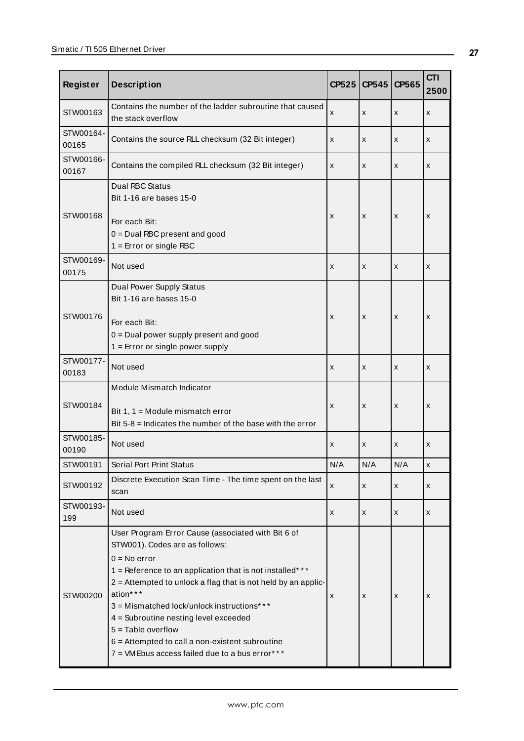| <b>Register</b>    | <b>Description</b>                                                                                                                                                                                                                                                                                                                                                                                                                                                    | CP525 | CP545 | CP565 | <b>CTI</b><br>2500 |
|--------------------|-----------------------------------------------------------------------------------------------------------------------------------------------------------------------------------------------------------------------------------------------------------------------------------------------------------------------------------------------------------------------------------------------------------------------------------------------------------------------|-------|-------|-------|--------------------|
| STW00163           | Contains the number of the ladder subroutine that caused<br>the stack overflow                                                                                                                                                                                                                                                                                                                                                                                        | x     | X     | x     | X                  |
| STW00164-<br>00165 | Contains the source RLL checksum (32 Bit integer)                                                                                                                                                                                                                                                                                                                                                                                                                     | x     | X     | x     | X                  |
| STW00166-<br>00167 | Contains the compiled RLL checksum (32 Bit integer)                                                                                                                                                                                                                                                                                                                                                                                                                   | x     | X     | x     | X                  |
| STW00168           | Dual RBC Status<br>Bit 1-16 are bases 15-0<br>For each Bit:<br>$0 =$ Dual RBC present and good<br>$1 =$ Error or single RBC                                                                                                                                                                                                                                                                                                                                           | x     | x     | x     | x                  |
| STW00169-<br>00175 | Not used                                                                                                                                                                                                                                                                                                                                                                                                                                                              | X     | X     | x     | X                  |
| STW00176           | Dual Power Supply Status<br>Bit 1-16 are bases 15-0<br>For each Bit:<br>0 = Dual power supply present and good<br>$1 =$ Error or single power supply                                                                                                                                                                                                                                                                                                                  | x     | x     | x     | x                  |
| STW00177-<br>00183 | Not used                                                                                                                                                                                                                                                                                                                                                                                                                                                              |       | X     | x     | X                  |
| STW00184           | Module Mismatch Indicator<br>Bit $1, 1$ = Module mismatch error<br>Bit $5-8$ = Indicates the number of the base with the error                                                                                                                                                                                                                                                                                                                                        | x     | X     | x     | X                  |
| STW00185-<br>00190 | Not used                                                                                                                                                                                                                                                                                                                                                                                                                                                              | x     | X     | X     | X                  |
| STW00191           | Serial Port Print Status                                                                                                                                                                                                                                                                                                                                                                                                                                              | N/A   | N/A   | N/A   | х                  |
| STW00192           | Discrete Execution Scan Time - The time spent on the last<br>scan                                                                                                                                                                                                                                                                                                                                                                                                     | x     | x     | x     | X                  |
| STW00193-<br>199   | Not used                                                                                                                                                                                                                                                                                                                                                                                                                                                              | x     | x     | x     | X                  |
| STW00200           | User Program Error Cause (associated with Bit 6 of<br>STW001). Codes are as follows:<br>$0 = No error$<br>1 = Reference to an application that is not installed***<br>2 = Attempted to unlock a flag that is not held by an applic-<br>ation***<br>3 = Mismatched lock/unlock instructions***<br>4 = Subroutine nesting level exceeded<br>$5 =$ Table overflow<br>$6$ = Attempted to call a non-existent subroutine<br>7 = VMEbus access failed due to a bus error*** | x     | x     | x     | x                  |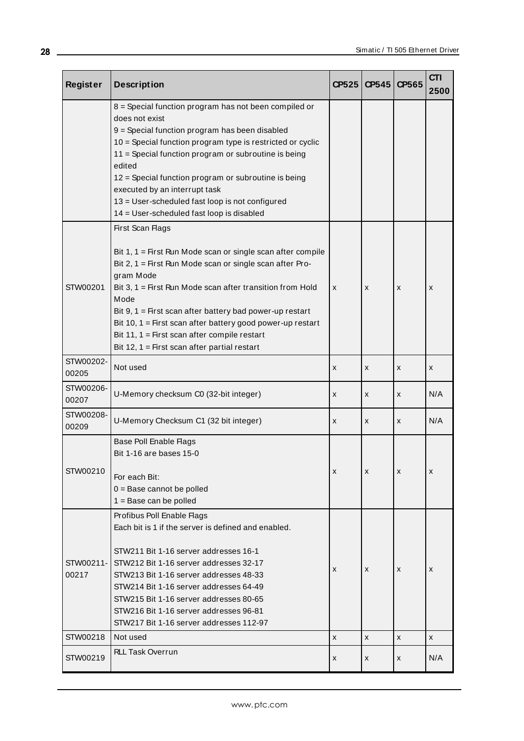| Register           | <b>Description</b>                                                                                                                                                                                                                                                                                                                                                                                                                                            |             | CP525<br>CP545 | CP565 | <b>CTI</b><br>2500 |
|--------------------|---------------------------------------------------------------------------------------------------------------------------------------------------------------------------------------------------------------------------------------------------------------------------------------------------------------------------------------------------------------------------------------------------------------------------------------------------------------|-------------|----------------|-------|--------------------|
|                    | 8 = Special function program has not been compiled or<br>does not exist<br>9 = Special function program has been disabled<br>10 = Special function program type is restricted or cyclic<br>11 = Special function program or subroutine is being<br>edited<br>12 = Special function program or subroutine is being<br>executed by an interrupt task<br>13 = User-scheduled fast loop is not configured<br>14 = User-scheduled fast loop is disabled            |             |                |       |                    |
| STW00201           | First Scan Flags<br>Bit $1, 1$ = First Run Mode scan or single scan after compile<br>Bit 2, 1 = First Run Mode scan or single scan after Pro-<br>gram Mode<br>Bit 3, $1 =$ First Run Mode scan after transition from Hold<br>Mode<br>Bit $9, 1$ = First scan after battery bad power-up restart<br>Bit 10, 1 = First scan after battery good power-up restart<br>Bit 11, 1 = First scan after compile restart<br>Bit 12, 1 = First scan after partial restart | X           | X              | x     | x                  |
| STW00202-<br>00205 | Not used                                                                                                                                                                                                                                                                                                                                                                                                                                                      | x           | x              | x     | x                  |
| STW00206-<br>00207 | U-Memory checksum C0 (32-bit integer)                                                                                                                                                                                                                                                                                                                                                                                                                         | x           | x              | x     | N/A                |
| STW00208-<br>00209 | U-Memory Checksum C1 (32 bit integer)                                                                                                                                                                                                                                                                                                                                                                                                                         | x           | x              | x     | N/A                |
| STW00210           | Base Poll Enable Flags<br>Bit 1-16 are bases 15-0<br>For each Bit:<br>$0 =$ Base cannot be polled<br>$1 = Base can be pulled$                                                                                                                                                                                                                                                                                                                                 | x<br>X<br>x |                |       | x                  |
| STW00211-<br>00217 | Profibus Poll Enable Flags<br>Each bit is 1 if the server is defined and enabled.<br>STW211 Bit 1-16 server addresses 16-1<br>STW212 Bit 1-16 server addresses 32-17<br>STW213 Bit 1-16 server addresses 48-33<br>STW214 Bit 1-16 server addresses 64-49<br>STW215 Bit 1-16 server addresses 80-65<br>STW216 Bit 1-16 server addresses 96-81<br>STW217 Bit 1-16 server addresses 112-97                                                                       | X           | X              | x     | x                  |
| STW00218           | Not used                                                                                                                                                                                                                                                                                                                                                                                                                                                      | X           | X              | x     | x                  |
| STW00219           | <b>RLL Task Overrun</b>                                                                                                                                                                                                                                                                                                                                                                                                                                       | x           | x              | x     | N/A                |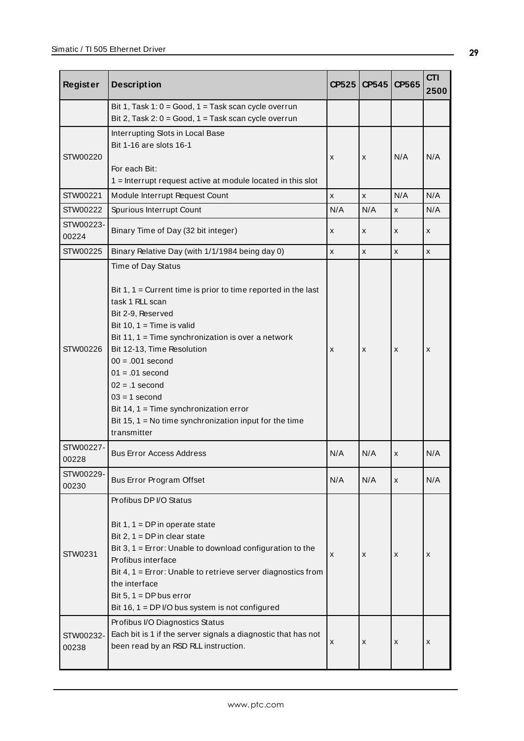| <b>Register</b>      | <b>Description</b>                                                                                                                                                                                                                                                                                                                                                                                                                                                   | CP525        | <b>CP545</b> | CP565 | <b>CTI</b><br>2500 |
|----------------------|----------------------------------------------------------------------------------------------------------------------------------------------------------------------------------------------------------------------------------------------------------------------------------------------------------------------------------------------------------------------------------------------------------------------------------------------------------------------|--------------|--------------|-------|--------------------|
|                      | Bit 1, Task 1: 0 = Good, 1 = Task scan cycle overrun<br>Bit 2, Task 2: 0 = Good, 1 = Task scan cycle overrun                                                                                                                                                                                                                                                                                                                                                         |              |              |       |                    |
| STW00220             | Interrupting Slots in Local Base<br>Bit 1-16 are slots 16-1<br>For each Bit:<br>1 = Interrupt request active at module located in this slot                                                                                                                                                                                                                                                                                                                          | X            | x            | N/A   | N/A                |
| STW00221             | Module Interrupt Request Count                                                                                                                                                                                                                                                                                                                                                                                                                                       | $\mathsf{x}$ | x            | N/A   | N/A                |
| STW00222             | Spurious Interrupt Count                                                                                                                                                                                                                                                                                                                                                                                                                                             | N/A          | N/A          | X     | N/A                |
| STW00223-<br>00224   | Binary Time of Day (32 bit integer)                                                                                                                                                                                                                                                                                                                                                                                                                                  | X            | x            | X     | X                  |
| STW00225             | Binary Relative Day (with 1/1/1984 being day 0)                                                                                                                                                                                                                                                                                                                                                                                                                      | X            | x            | X     | X                  |
| STW00226             | Time of Day Status<br>Bit $1, 1$ = Current time is prior to time reported in the last<br>task 1 RLL scan<br>Bit 2-9, Reserved<br>Bit 10, $1 =$ Time is valid<br>Bit 11, 1 = Time synchronization is over a network<br>Bit 12-13, Time Resolution<br>X<br>X<br>X<br>$00 = .001$ second<br>$01 = .01$ second<br>$02 = .1$ second<br>$03 = 1$ second<br>Bit 14, 1 = Time synchronization error<br>Bit 15, 1 = No time synchronization input for the time<br>transmitter |              |              | X     |                    |
| STW00227-<br>00228   | <b>Bus Error Access Address</b>                                                                                                                                                                                                                                                                                                                                                                                                                                      | N/A          | N/A          | X     | N/A                |
| STW00229-<br>00230   | Bus Error Program Offset                                                                                                                                                                                                                                                                                                                                                                                                                                             | N/A          | N/A          | X     | N/A                |
| STW0231<br>STW00232- | Profibus DP I/O Status<br>Bit $1, 1 = DP$ in operate state<br>Bit $2, 1 = DP$ in clear state<br>Bit $3, 1$ = Error: Unable to download configuration to the<br>Profibus interface<br>Bit $4, 1$ = Error: Unable to retrieve server diagnostics from<br>the interface<br>Bit 5, $1 = DP$ bus error<br>Bit 16, $1 = DP$ I/O bus system is not configured<br>Profibus I/O Diagnostics Status<br>Each bit is 1 if the server signals a diagnostic that has not           | X            | x            | х     | x                  |
| 00238                | been read by an RSD RLL instruction.                                                                                                                                                                                                                                                                                                                                                                                                                                 | X            | x            | х     | x                  |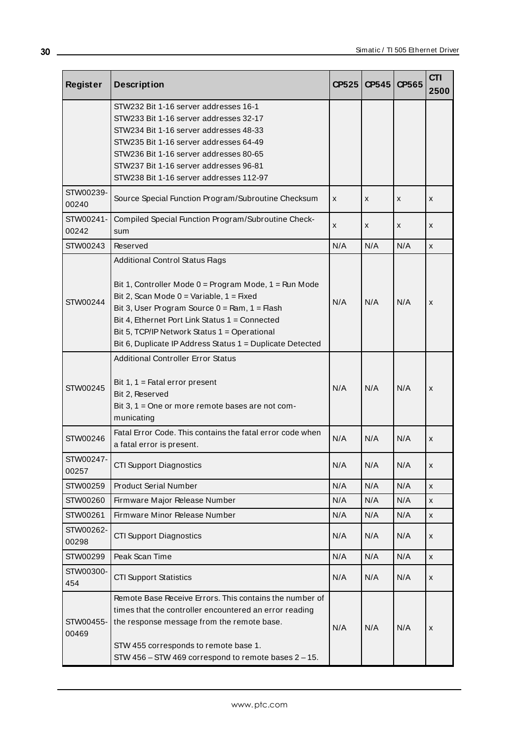| Register           | <b>Description</b>                                                                                                                                                                                                                                                                                                                                                                | <b>CP525</b>      | CP545 | CP565 | <b>CTI</b><br>2500 |
|--------------------|-----------------------------------------------------------------------------------------------------------------------------------------------------------------------------------------------------------------------------------------------------------------------------------------------------------------------------------------------------------------------------------|-------------------|-------|-------|--------------------|
|                    | STW232 Bit 1-16 server addresses 16-1<br>STW233 Bit 1-16 server addresses 32-17<br>STW234 Bit 1-16 server addresses 48-33<br>STW235 Bit 1-16 server addresses 64-49<br>STW236 Bit 1-16 server addresses 80-65<br>STW237 Bit 1-16 server addresses 96-81<br>STW238 Bit 1-16 server addresses 112-97                                                                                |                   |       |       |                    |
| STW00239-<br>00240 | Source Special Function Program/Subroutine Checksum                                                                                                                                                                                                                                                                                                                               | x                 | x     | X     | X                  |
| STW00241-<br>00242 | Compiled Special Function Program/Subroutine Check-<br>sum                                                                                                                                                                                                                                                                                                                        | x                 | x     | X     | X                  |
| STW00243           | Reserved                                                                                                                                                                                                                                                                                                                                                                          | N/A               | N/A   | N/A   | X                  |
| STW00244           | <b>Additional Control Status Flags</b><br>Bit 1, Controller Mode $0 = Program$ Mode, 1 = Run Mode<br>Bit 2, Scan Mode $0 = \text{Variable}, 1 = \text{Fixed}$<br>Bit 3, User Program Source $0 = Ram$ , $1 = Hash$<br>Bit 4, Ethernet Port Link Status 1 = Connected<br>Bit 5, TCP/IP Network Status 1 = Operational<br>Bit 6, Duplicate IP Address Status 1 = Duplicate Detected | N/A               | N/A   | N/A   | x                  |
| STW00245           | <b>Additional Controller Error Status</b><br>Bit $1, 1$ = Fatal error present<br>Bit 2, Reserved<br>Bit 3, 1 = One or more remote bases are not com-<br>municating                                                                                                                                                                                                                | N/A<br>N/A<br>N/A |       | x     |                    |
| STW00246           | Fatal Error Code. This contains the fatal error code when<br>a fatal error is present.                                                                                                                                                                                                                                                                                            | N/A               | N/A   | N/A   | X                  |
| STW00247-<br>00257 | <b>CTI Support Diagnostics</b>                                                                                                                                                                                                                                                                                                                                                    | N/A               | N/A   | N/A   | x                  |
| STW00259           | <b>Product Serial Number</b>                                                                                                                                                                                                                                                                                                                                                      | N/A               | N/A   | N/A   | X                  |
| STW00260           | Firmware Major Release Number                                                                                                                                                                                                                                                                                                                                                     | N/A               | N/A   | N/A   | x                  |
| STW00261           | Firmware Minor Release Number                                                                                                                                                                                                                                                                                                                                                     | N/A               | N/A   | N/A   | x                  |
| STW00262-<br>00298 | <b>CTI Support Diagnostics</b>                                                                                                                                                                                                                                                                                                                                                    | N/A               | N/A   | N/A   | x                  |
| STW00299           | Peak Scan Time                                                                                                                                                                                                                                                                                                                                                                    | N/A               | N/A   | N/A   | x                  |
| STW00300-<br>454   | <b>CTI Support Statistics</b>                                                                                                                                                                                                                                                                                                                                                     | N/A               | N/A   | N/A   | x                  |
| STW00455-<br>00469 | Remote Base Receive Errors. This contains the number of<br>times that the controller encountered an error reading<br>the response message from the remote base.<br>N/A<br>N/A<br>STW 455 corresponds to remote base 1.<br>STW 456 - STW 469 correspond to remote bases 2 - 15.                                                                                                    |                   | N/A   | X     |                    |

<u> 1989 - Johann Barn, mars ann an t-Amhain Aonaich an t-Aonaich an t-Aonaich an t-Aonaich an t-Aonaich ann an t-</u>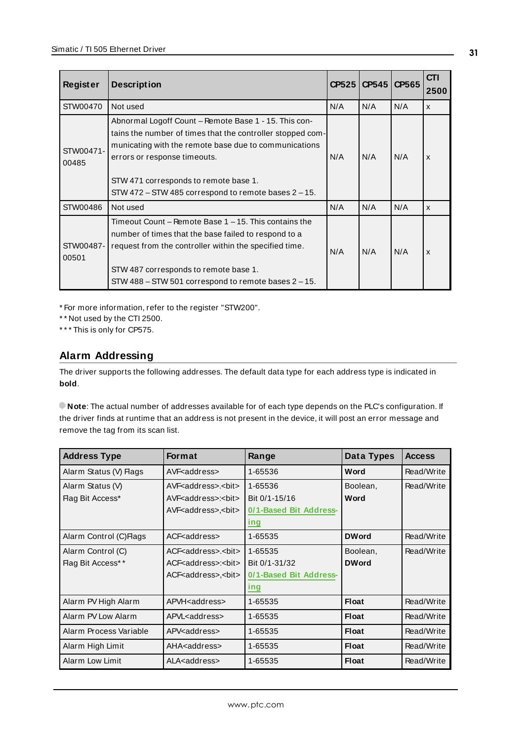| <b>Register</b>    | <b>Description</b>                                                                                                                                                                                                                                                                                               | CP525             | CP545 | CP565                     | CTI<br>2500               |
|--------------------|------------------------------------------------------------------------------------------------------------------------------------------------------------------------------------------------------------------------------------------------------------------------------------------------------------------|-------------------|-------|---------------------------|---------------------------|
| STW00470           | Not used                                                                                                                                                                                                                                                                                                         | N/A               | N/A   | N/A                       | $\mathsf{x}$              |
| STW00471-<br>00485 | Abnormal Logoff Count – Remote Base 1 - 15. This con-<br>tains the number of times that the controller stopped com-<br>municating with the remote base due to communications<br>errors or response timeouts.<br>STW 471 corresponds to remote base 1.<br>STW 472 – STW 485 correspond to remote bases $2 - 15$ . | N/A<br>N/A<br>N/A |       | $\boldsymbol{\mathsf{x}}$ |                           |
| STW00486           | N/A<br>Not used                                                                                                                                                                                                                                                                                                  |                   | N/A   | N/A                       | $\boldsymbol{\mathsf{x}}$ |
| STW00487-<br>00501 | Timeout Count – Remote Base 1 – 15. This contains the<br>number of times that the base failed to respond to a<br>request from the controller within the specified time.<br>STW 487 corresponds to remote base 1.<br>STW 488 – STW 501 correspond to remote bases 2 – 15.                                         | N/A               | N/A   | N/A                       | X                         |

\* For more information, refer to the register "STW200".

\* \* Not used by the CTI 2500.

<span id="page-30-0"></span>\* \* \* This is only for CP575.

# **Alarm Addressing**

The driver supports the following addresses. The default data type for each address type is indicated in **bold**.

**Note**: The actual number of addresses available for of each type depends on the PLC's configuration. If the driver finds at runtime that an address is not present in the device, it will post an error message and remove the tag from its scan list.

| <b>Address Type</b>     | <b>Format</b>                            | Range                  | Data Types   | <b>Access</b> |
|-------------------------|------------------------------------------|------------------------|--------------|---------------|
| Alarm Status (V) Flags  | AVF <address></address>                  | 1-65536                | Word         | Read/Write    |
| Alarm Status (V)        | AVF <address>. <br/>bit&gt;</address>    | 1-65536                | Boolean,     | Read/Write    |
| Flag Bit Access*        | AVF < address>: < bit>                   | Bit 0/1-15/16          | Word         |               |
|                         | AVF < address>, < bit<                   | 0/1-Based Bit Address- |              |               |
|                         |                                          | ing                    |              |               |
| Alarm Control (C) Flags | ACF <address></address>                  | 1-65535                | <b>DWord</b> | Read/Write    |
| Alarm Control (C)       | ACF <address>. &lt; bit&lt;</address>    | 1-65535                | Boolean,     | Read/Write    |
| Flag Bit Access**       | ACF <address>:<br/>&gt;bit&gt;</address> | Bit 0/1-31/32          | <b>DWord</b> |               |
|                         | ACF <address>,<br/>bit&gt;</address>     | 0/1-Based Bit Address- |              |               |
|                         |                                          | ing                    |              |               |
| Alarm PV High Alarm     | APVH <address></address>                 | 1-65535                | Float        | Read/Write    |
| Alarm PV Low Alarm      | APVL <address></address>                 | 1-65535                | <b>Float</b> | Read/Write    |
| Alarm Process Variable  | APV <address></address>                  | 1-65535                | <b>Float</b> | Read/Write    |
| Alarm High Limit        | AHA <address></address>                  | 1-65535                | <b>Float</b> | Read/Write    |
| Alarm Low Limit         | ALA <address></address>                  | 1-65535                | <b>Float</b> | Read/Write    |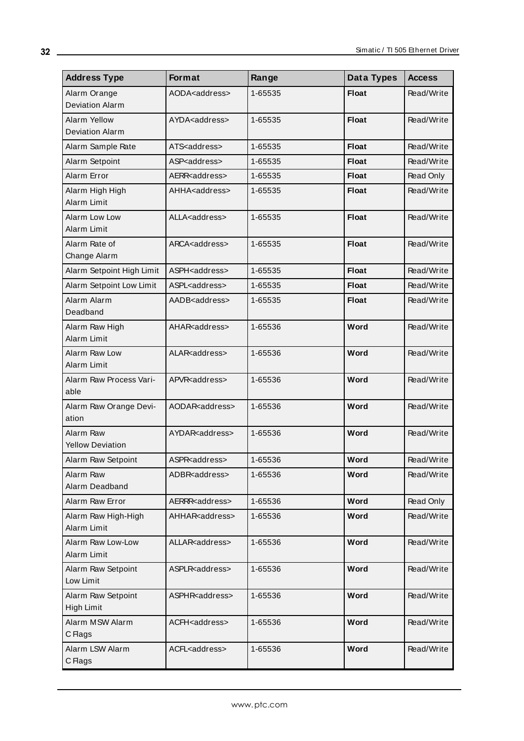| <b>Address Type</b>                    | Format                    | Range   | Data Types   | <b>Access</b> |
|----------------------------------------|---------------------------|---------|--------------|---------------|
| Alarm Orange<br><b>Deviation Alarm</b> | AODA <address></address>  | 1-65535 | <b>Float</b> | Read/Write    |
| Alarm Yellow<br><b>Deviation Alarm</b> | AYDA <address></address>  | 1-65535 | <b>Float</b> | Read/Write    |
| Alarm Sample Rate                      | ATS <address></address>   | 1-65535 | <b>Float</b> | Read/Write    |
| Alarm Setpoint                         | ASP <address></address>   | 1-65535 | <b>Float</b> | Read/Write    |
| Alarm Error                            | AERR <address></address>  | 1-65535 | <b>Float</b> | Read Only     |
| Alarm High High<br>Alarm Limit         | AHHA <address></address>  | 1-65535 | <b>Float</b> | Read/Write    |
| Alarm Low Low<br>Alarm Limit           | ALLA <address></address>  | 1-65535 | <b>Float</b> | Read/Write    |
| Alarm Rate of<br>Change Alarm          | ARCA <address></address>  | 1-65535 | <b>Float</b> | Read/Write    |
| Alarm Setpoint High Limit              | ASPH <address></address>  | 1-65535 | <b>Float</b> | Read/Write    |
| Alarm Setpoint Low Limit               | ASPL <address></address>  | 1-65535 | <b>Float</b> | Read/Write    |
| Alarm Alarm<br>Deadband                | AADB <address></address>  | 1-65535 | <b>Float</b> | Read/Write    |
| Alarm Raw High<br>Alarm Limit          | AHAR <address></address>  | 1-65536 | Word         | Read/Write    |
| Alarm Raw Low<br>Alarm Limit           | ALAR <address></address>  | 1-65536 | Word         | Read/Write    |
| Alarm Raw Process Vari-<br>able        | APVR <address></address>  | 1-65536 | Word         | Read/Write    |
| Alarm Raw Orange Devi-<br>ation        | AODAR <address></address> | 1-65536 | Word         | Read/Write    |
| Alarm Raw<br><b>Yellow Deviation</b>   | AYDAR <address></address> | 1-65536 | Word         | Read/Write    |
| Alarm Raw Setpoint                     | ASPR <address></address>  | 1-65536 | Word         | Read/Write    |
| Alarm Raw<br>Alarm Deadband            | ADBR <address></address>  | 1-65536 | Word         | Read/Write    |
| Alarm Raw Error                        | AERRR <address></address> | 1-65536 | Word         | Read Only     |
| Alarm Raw High-High<br>Alarm Limit     | AHHAR <address></address> | 1-65536 | Word         | Read/Write    |
| Alarm Raw Low-Low<br>Alarm Limit       | ALLAR <address></address> | 1-65536 | Word         | Read/Write    |
| Alarm Raw Setpoint<br>Low Limit        | ASPLR <address></address> | 1-65536 | Word         | Read/Write    |
| Alarm Raw Setpoint<br>High Limit       | ASPHR <address></address> | 1-65536 | Word         | Read/Write    |
| Alarm MSW Alarm<br>C Flags             | ACFH <address></address>  | 1-65536 | Word         | Read/Write    |
| Alarm LSW Alarm<br>C Flags             | ACFL <address></address>  | 1-65536 | Word         | Read/Write    |

<u> 1980 - Johann Barn, mars ann an t-Amhain Aonaich an t-Aonaich an t-Aonaich ann an t-Aonaich ann an t-Aonaich</u>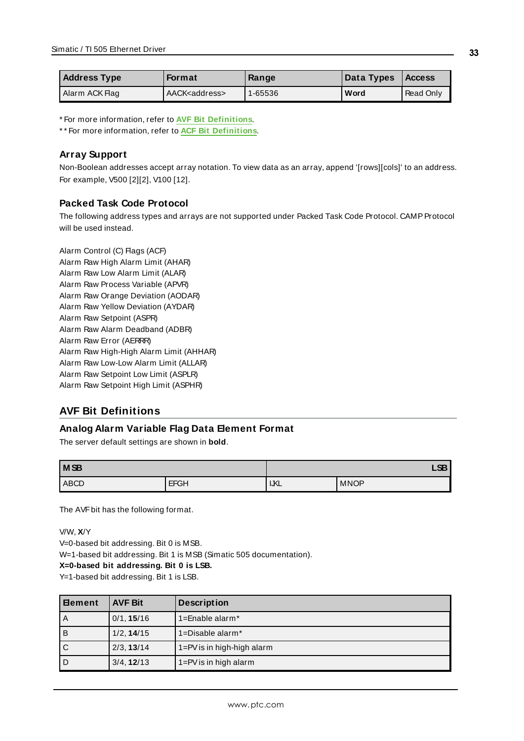| <b>Address Type</b> | <b>Format</b>            | Range       | Data Types | <b>Access</b>    |
|---------------------|--------------------------|-------------|------------|------------------|
| Alarm ACK Flag      | AACK <address></address> | $1 - 65536$ | Word       | <b>Read Only</b> |

\* For more information, refer to **AVF Bit [Definitions](#page-32-0)**.

\* \* For more information, refer to **ACF Bit [Definitions](#page-33-0)**.

### **Array Support**

Non-Boolean addresses accept array notation. To view data as an array, append '[rows][cols]' to an address. For example, V500 [2][2], V100 [12].

### **Packed Task Code Protocol**

The following address types and arrays are not supported under Packed Task Code Protocol. CAMP Protocol will be used instead.

Alarm Control (C) Flags (ACF) Alarm Raw High Alarm Limit (AHAR) Alarm Raw Low Alarm Limit (ALAR) Alarm Raw Process Variable (APVR) Alarm Raw Orange Deviation (AODAR) Alarm Raw Yellow Deviation (AYDAR) Alarm Raw Setpoint (ASPR) Alarm Raw Alarm Deadband (ADBR) Alarm Raw Error (AERRR) Alarm Raw High-High Alarm Limit (AHHAR) Alarm Raw Low-Low Alarm Limit (ALLAR) Alarm Raw Setpoint Low Limit (ASPLR) Alarm Raw Setpoint High Limit (ASPHR)

# <span id="page-32-0"></span>**AVF Bit Definitions**

#### **Analog Alarm Variable Flag Data Element Format**

The server default settings are shown in **bold**.

| M <sub>SB</sub> |             | <b>CD</b><br>ᄓᇰ |             |  |
|-----------------|-------------|-----------------|-------------|--|
| <b>ABCD</b>     | <b>EFGH</b> | IJKL            | <b>MNOP</b> |  |

The AVF bit has the following format.

V/W, **X**/Y

V=0-based bit addressing. Bit 0 is MSB.

W=1-based bit addressing. Bit 1 is MSB (Simatic 505 documentation).

**X=0-based bit addressing. Bit 0 is LSB.**

Y=1-based bit addressing. Bit 1 is LSB.

| l Element | <b>AVF Bit</b> | <b>Description</b>             |
|-----------|----------------|--------------------------------|
| l A       | 0/1, 15/16     | 1=Enable alarm $*$             |
| lв        | 1/2, 14/15     | 1=Disable alarm*               |
| l c       | 2/3, 13/14     | $1 = PV$ is in high-high alarm |
| l D       | 3/4, 12/13     | $1 = PV$ is in high alarm      |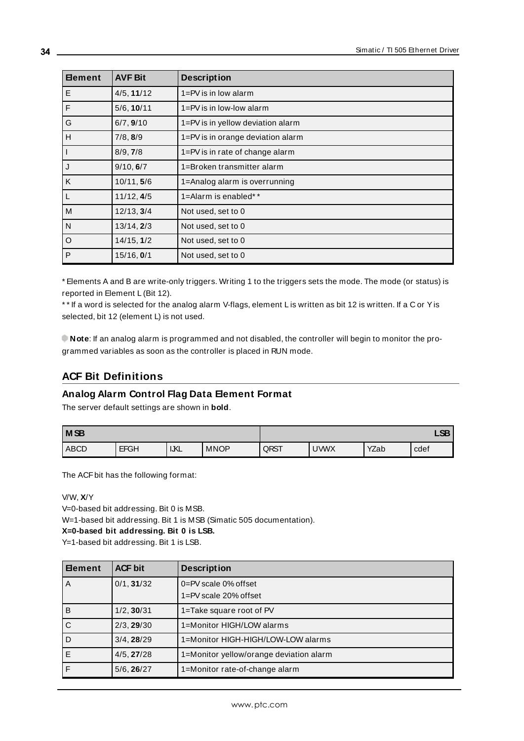| <b>Element</b> | <b>AVF Bit</b> | <b>Description</b>                |
|----------------|----------------|-----------------------------------|
| l E            | 4/5, 11/12     | $1 = PV$ is in low alarm          |
| $\vert$ F      | 5/6, 10/11     | $1 = PV$ is in low-low alarm      |
| G              | 6/7, 9/10      | 1=PV is in yellow deviation alarm |
| lн             | 7/8, 8/9       | 1=PV is in orange deviation alarm |
| $\vert$ 1      | 8/9, 7/8       | 1=PV is in rate of change alarm   |
| ل              | 9/10, 6/7      | 1=Broken transmitter alarm        |
| K              | 10/11, 5/6     | 1=Analog alarm is overrunning     |
| l L            | 11/12, 4/5     | 1=Alarm is enabled**              |
| M              | 12/13, 3/4     | Not used, set to 0                |
| N              | 13/14, 2/3     | Not used, set to 0                |
| $\circ$        | 14/15, 1/2     | Not used, set to 0                |
| P              | 15/16, 0/1     | Not used, set to 0                |

\* Elements A and B are write-only triggers. Writing 1 to the triggers sets the mode. The mode (or status) is reported in Element L (Bit 12).

\* \* If a word is selected for the analog alarm V-flags, element L is written as bit 12 is written. If a C or Yis selected, bit 12 (element L) is not used.

**Note**: If an analog alarm is programmed and not disabled, the controller will begin to monitor the programmed variables as soon as the controller is placed in RUN mode.

# <span id="page-33-0"></span>**ACF Bit Definitions**

# **Analog Alarm Control Flag Data Element Format**

The server default settings are shown in **bold**.

| MSB         |             |            |             |      |             |      | <b>CD</b><br>ᅜ |
|-------------|-------------|------------|-------------|------|-------------|------|----------------|
| <b>ABCD</b> | <b>EFGH</b> | <b>IKL</b> | <b>MNOP</b> | QRST | <b>UWWX</b> | YZab | cdef           |

The ACFbit has the following format:

V/W, **X**/Y

V=0-based bit addressing. Bit 0 is MSB.

W=1-based bit addressing. Bit 1 is MSB (Simatic 505 documentation).

**X=0-based bit addressing. Bit 0 is LSB.**

Y=1-based bit addressing. Bit 1 is LSB.

| l ⊟ement | <b>ACF bit</b> | <b>Description</b>                      |
|----------|----------------|-----------------------------------------|
| l A      | 0/1, 31/32     | $0 = PV$ scale 0% offset                |
|          |                | 1=PV scale 20% offset                   |
| l B      | 1/2, 30/31     | 1=Take square root of PV                |
| c        | 2/3, 29/30     | 1=Monitor HIGH/LOW alarms               |
| l D      | 3/4, 28/29     | 1=Monitor HIGH-HIGH/LOW-LOW alarms      |
| l El     | 4/5, 27/28     | 1=Monitor yellow/orange deviation alarm |
| l F      | 5/6, 26/27     | 1=Monitor rate-of-change alarm          |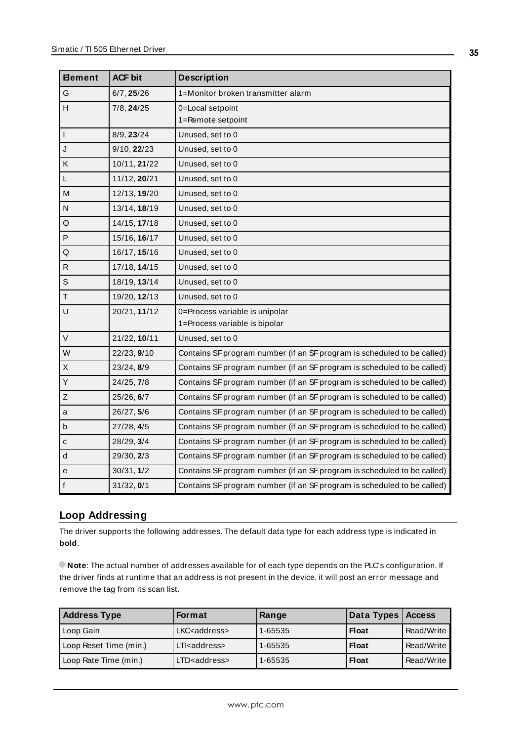| <b>Element</b>          | <b>ACF bit</b> | <b>Description</b>                                                      |
|-------------------------|----------------|-------------------------------------------------------------------------|
| G                       | 6/7, 25/26     | 1=Monitor broken transmitter alarm                                      |
| Н                       | 7/8, 24/25     | 0=Local setpoint<br>1=Remote setpoint                                   |
| $\overline{1}$          | 8/9, 23/24     | Unused, set to 0                                                        |
| $\overline{\mathsf{J}}$ | 9/10, 22/23    | Unused, set to 0                                                        |
| Κ                       | 10/11, 21/22   | Unused, set to 0                                                        |
| $\mathsf{L}$            | 11/12, 20/21   | Unused, set to 0                                                        |
| M                       | 12/13, 19/20   | Unused, set to 0                                                        |
| ${\sf N}$               | 13/14, 18/19   | Unused, set to 0                                                        |
| O                       | 14/15, 17/18   | Unused, set to 0                                                        |
| P                       | 15/16, 16/17   | Unused, set to 0                                                        |
| Q                       | 16/17, 15/16   | Unused, set to 0                                                        |
| R                       | 17/18, 14/15   | Unused, set to 0                                                        |
| S                       | 18/19, 13/14   | Unused, set to 0                                                        |
| $\top$                  | 19/20, 12/13   | Unused, set to 0                                                        |
| $\cup$                  | 20/21, 11/12   | 0=Process variable is unipolar<br>1=Process variable is bipolar         |
| $\vee$                  | 21/22, 10/11   | Unused, set to 0                                                        |
| W                       | 22/23, 9/10    | Contains SF program number (if an SF program is scheduled to be called) |
| $\mathsf{X}$            | 23/24, 8/9     | Contains SF program number (if an SF program is scheduled to be called) |
| Y                       | 24/25, 7/8     | Contains SF program number (if an SF program is scheduled to be called) |
| Z                       | 25/26, 6/7     | Contains SF program number (if an SF program is scheduled to be called) |
| a                       | 26/27, 5/6     | Contains SF program number (if an SF program is scheduled to be called) |
| b                       | 27/28, 4/5     | Contains SF program number (if an SF program is scheduled to be called) |
| ${\bf c}$               | 28/29, 3/4     | Contains SF program number (if an SF program is scheduled to be called) |
| ${\sf d}$               | 29/30, 2/3     | Contains SF program number (if an SF program is scheduled to be called) |
| е                       | 30/31, 1/2     | Contains SF program number (if an SF program is scheduled to be called) |
| F                       | 31/32, 0/1     | Contains SF program number (if an SF program is scheduled to be called) |

# <span id="page-34-0"></span>**Loop Addressing**

The driver supports the following addresses. The default data type for each address type is indicated in **bold**.

**Note**: The actual number of addresses available for of each type depends on the PLC's configuration. If the driver finds at runtime that an address is not present in the device, it will post an error message and remove the tag from its scan list.

| <b>Address Type</b>    | Format                  | Range   | Data Types   Access |            |
|------------------------|-------------------------|---------|---------------------|------------|
| Loop Gain              | LKC <address></address> | 1-65535 | <b>Float</b>        | Read/Write |
| Loop Reset Time (min.) | LTI <address></address> | 1-65535 | <b>Float</b>        | Read/Write |
| Loop Rate Time (min.)  | LTD <address></address> | 1-65535 | <b>Float</b>        | Read/Write |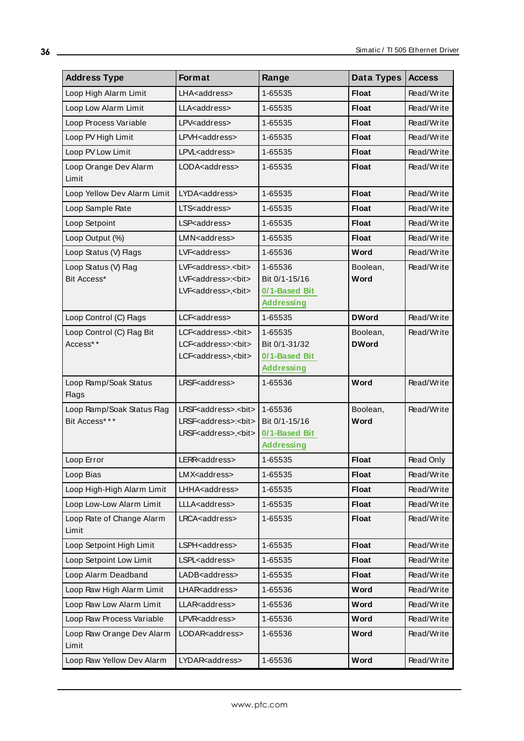| <b>Address Type</b>                         | Format                                                                                                               | Range                                                          | Data Types               | <b>Access</b> |
|---------------------------------------------|----------------------------------------------------------------------------------------------------------------------|----------------------------------------------------------------|--------------------------|---------------|
| Loop High Alarm Limit                       | LHA <address></address>                                                                                              | 1-65535                                                        | <b>Float</b>             | Read/Write    |
| Loop Low Alarm Limit                        | LLA <address></address>                                                                                              | 1-65535                                                        | <b>Float</b>             | Read/Write    |
| Loop Process Variable                       | LPV <address></address>                                                                                              | 1-65535                                                        | <b>Float</b>             | Read/Write    |
| Loop PV High Limit                          | LPVH <address></address>                                                                                             | 1-65535                                                        | <b>Float</b>             | Read/Write    |
| Loop PV Low Limit                           | LPVL <address></address>                                                                                             | 1-65535                                                        | <b>Float</b>             | Read/Write    |
| Loop Orange Dev Alarm<br>Limit              | LODA <address></address>                                                                                             | 1-65535                                                        | <b>Float</b>             | Read/Write    |
| Loop Yellow Dev Alarm Limit                 | LYDA <address></address>                                                                                             | 1-65535                                                        | <b>Float</b>             | Read/Write    |
| Loop Sample Rate                            | LTS <address></address>                                                                                              | 1-65535                                                        | <b>Float</b>             | Read/Write    |
| Loop Setpoint                               | LSP <address></address>                                                                                              | 1-65535                                                        | <b>Float</b>             | Read/Write    |
| Loop Output (%)                             | LMN <address></address>                                                                                              | 1-65535                                                        | <b>Float</b>             | Read/Write    |
| Loop Status (V) Flags                       | LVF <address></address>                                                                                              | 1-65536                                                        | Word                     | Read/Write    |
| Loop Status (V) Flag<br>Bit Access*         | LVF <address>.<bit><br/>LVF<address>:<bit><br/>LVF<address>,<bit></bit></address></bit></address></bit></address>    | 1-65536<br>Bit 0/1-15/16<br>0/1-Based Bit<br><b>Addressing</b> | Boolean,<br>Word         | Read/Write    |
| Loop Control (C) Flags                      | LCF <address></address>                                                                                              | 1-65535                                                        | <b>DWord</b>             | Read/Write    |
| Loop Control (C) Flag Bit<br>Access**       | LCF <address>.<bit><br/>LCF<address>:<bit><br/>LCF<address>,<bit></bit></address></bit></address></bit></address>    | 1-65535<br>Bit 0/1-31/32<br>0/1-Based Bit<br><b>Addressing</b> | Boolean,<br><b>DWord</b> | Read/Write    |
| Loop Ramp/Soak Status<br><b>Flags</b>       | LRSF <address></address>                                                                                             | 1-65536                                                        | Word                     | Read/Write    |
| Loop Ramp/Soak Status Flag<br>Bit Access*** | LRSF <address>.<bit><br/>LRSF<address>:<bit><br/>LRSF<address>,<bit></bit></address></bit></address></bit></address> | 1-65536<br>Bit 0/1-15/16<br>0/1-Based Bit<br><b>Addressing</b> | Boolean,<br>Word         | Read/Write    |
| Loop Error                                  | LERR <address></address>                                                                                             | 1-65535                                                        | <b>Float</b>             | Read Only     |
| Loop Bias                                   | LMX <address></address>                                                                                              | 1-65535                                                        | <b>Float</b>             | Read/Write    |
| Loop High-High Alarm Limit                  | LHHA <address></address>                                                                                             | 1-65535                                                        | <b>Float</b>             | Read/Write    |
| Loop Low-Low Alarm Limit                    | LLLA <address></address>                                                                                             | 1-65535                                                        | <b>Float</b>             | Read/Write    |
| Loop Rate of Change Alarm<br>Limit          | LRCA <address></address>                                                                                             | 1-65535                                                        | <b>Float</b>             | Read/Write    |
| Loop Setpoint High Limit                    | LSPH <address></address>                                                                                             | 1-65535                                                        | <b>Float</b>             | Read/Write    |
| Loop Setpoint Low Limit                     | LSPL <address></address>                                                                                             | 1-65535                                                        | <b>Float</b>             | Read/Write    |
| Loop Alarm Deadband                         | LADB <address></address>                                                                                             | 1-65535                                                        | <b>Float</b>             | Read/Write    |
| Loop Raw High Alarm Limit                   | LHAR <address></address>                                                                                             | 1-65536                                                        | Word                     | Read/Write    |
| Loop Raw Low Alarm Limit                    | LLAR <address></address>                                                                                             | 1-65536                                                        | Word                     | Read/Write    |
| Loop Raw Process Variable                   | LPVR <address></address>                                                                                             | 1-65536                                                        | Word                     | Read/Write    |
| Loop Raw Orange Dev Alarm<br>Limit          | LODAR <address></address>                                                                                            | 1-65536                                                        | Word                     | Read/Write    |
| Loop Raw Yellow Dev Alarm                   | LYDAR <address></address>                                                                                            | 1-65536                                                        | Word                     | Read/Write    |

<u> 1980 - Johann Barn, mars an t-Amerikaansk politiker (</u>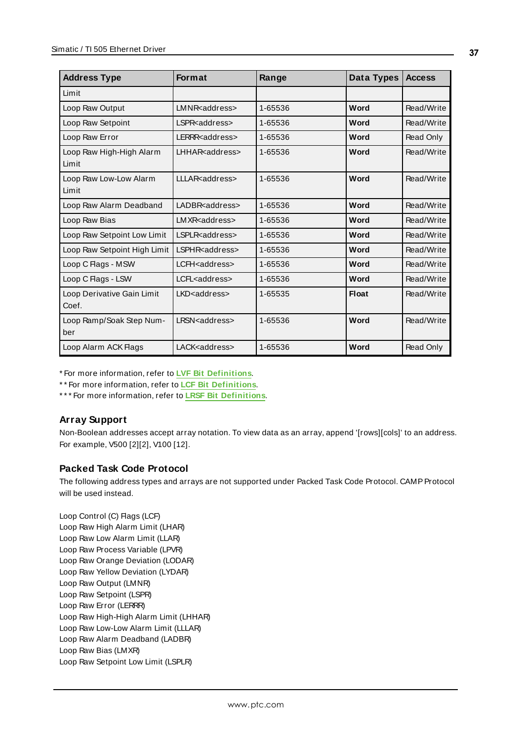| <b>Address Type</b>                 | <b>Format</b>             | Range   | Data Types   | <b>Access</b> |
|-------------------------------------|---------------------------|---------|--------------|---------------|
| Limit                               |                           |         |              |               |
| Loop Raw Output                     | LMNR <address></address>  | 1-65536 | Word         | Read/Write    |
| Loop Raw Setpoint                   | LSPR <address></address>  | 1-65536 | Word         | Read/Write    |
| Loop Raw Error                      | LERRR <address></address> | 1-65536 | Word         | Read Only     |
| Loop Raw High-High Alarm<br>Limit   | LHHAR <address></address> | 1-65536 | Word         | Read/Write    |
| Loop Raw Low-Low Alarm<br>Limit     | LLLAR <address></address> | 1-65536 | Word         | Read/Write    |
| Loop Raw Alarm Deadband             | LADBR <address></address> | 1-65536 | Word         | Read/Write    |
| Loop Raw Bias                       | LMXR <address></address>  | 1-65536 | Word         | Read/Write    |
| Loop Raw Setpoint Low Limit         | LSPLR <address></address> | 1-65536 | Word         | Read/Write    |
| Loop Raw Setpoint High Limit        | LSPHR <address></address> | 1-65536 | Word         | Read/Write    |
| Loop C Flags - MSW                  | LCFH <address></address>  | 1-65536 | Word         | Read/Write    |
| Loop C Flags - LSW                  | LCFL <address></address>  | 1-65536 | Word         | Read/Write    |
| Loop Derivative Gain Limit<br>Coef. | LKD <address></address>   | 1-65535 | <b>Float</b> | Read/Write    |
| Loop Ramp/Soak Step Num-<br>ber     | LRSN <address></address>  | 1-65536 | Word         | Read/Write    |
| Loop Alarm ACK Flags                | LACK <address></address>  | 1-65536 | Word         | Read Only     |

\* For more information, refer to **LVF Bit [Definitions](#page-37-0)**.

\* \* For more information, refer to **LCF Bit [Definitions](#page-38-0)**.

\* \* \* For more information, refer to **LRSF Bit [Definitions](#page-39-0)**.

# **Array Support**

Non-Boolean addresses accept array notation. To view data as an array, append '[rows][cols]' to an address. For example, V500 [2][2], V100 [12].

# **Packed Task Code Protocol**

The following address types and arrays are not supported under Packed Task Code Protocol. CAMPProtocol will be used instead.

Loop Control (C) Flags (LCF) Loop Raw High Alarm Limit (LHAR) Loop Raw Low Alarm Limit (LLAR) Loop Raw Process Variable (LPVR) Loop Raw Orange Deviation (LODAR) Loop Raw Yellow Deviation (LYDAR) Loop Raw Output (LMNR) Loop Raw Setpoint (LSPR) Loop Raw Error (LERRR) Loop Raw High-High Alarm Limit (LHHAR) Loop Raw Low-Low Alarm Limit (LLLAR) Loop Raw Alarm Deadband (LADBR) Loop Raw Bias (LMXR) Loop Raw Setpoint Low Limit (LSPLR)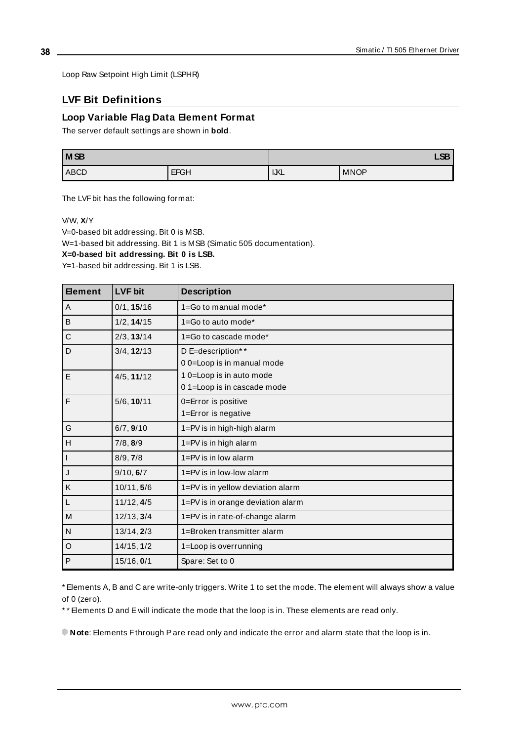<span id="page-37-0"></span>Loop Raw Setpoint High Limit (LSPHR)

# **LVF Bit Definitions**

### **Loop Variable Flag Data Element Format**

The server default settings are shown in **bold**.

| M <sub>SB</sub> |             |             | $\sim$<br>LJD |
|-----------------|-------------|-------------|---------------|
| <b>ABCD</b>     | <b>EFGH</b> | <b>IJKL</b> | <b>MNOP</b>   |

The LVFbit has the following format:

V/W, **X**/Y

V=0-based bit addressing. Bit 0 is MSB.

W=1-based bit addressing. Bit 1 is MSB (Simatic 505 documentation).

**X=0-based bit addressing. Bit 0 is LSB.**

Y=1-based bit addressing. Bit 1 is LSB.

| <b>Element</b> | <b>LVF bit</b> | <b>Description</b>                |
|----------------|----------------|-----------------------------------|
| A              | 0/1, 15/16     | 1=Go to manual mode*              |
| B              | 1/2, 14/15     | 1=Go to auto mode*                |
| $\mathsf C$    | 2/3, 13/14     | 1=Go to cascade mode*             |
| D              | 3/4, 12/13     | D E=description**                 |
|                |                | 00=Loop is in manual mode         |
| l E            | 4/5, 11/12     | 1 0=Loop is in auto mode          |
|                |                | 01=Loop is in cascade mode        |
| l F            | 5/6, 10/11     | 0=Error is positive               |
|                |                | 1=Error is negative               |
| G              | 6/7, 9/10      | 1=PV is in high-high alarm        |
| H              | 7/8, 8/9       | 1=PV is in high alarm             |
| l I            | 8/9, 7/8       | $1 = PV$ is in low alarm          |
| $\mathsf{L}$   | 9/10, 6/7      | $1 = PV$ is in low-low alarm      |
| K              | 10/11, 5/6     | 1=PV is in yellow deviation alarm |
| L              | 11/12, 4/5     | 1=PV is in orange deviation alarm |
| M              | 12/13, 3/4     | 1=PV is in rate-of-change alarm   |
| $\overline{N}$ | 13/14, 2/3     | 1=Broken transmitter alarm        |
| O              | 14/15, 1/2     | 1=Loop is overrunning             |
| P              | 15/16, 0/1     | Spare: Set to 0                   |

\* Elements A, B and C are write-only triggers. Write 1 to set the mode. The element will always show a value of 0 (zero).

\* \* Elements D and E will indicate the mode that the loop is in. These elements are read only.

**Note**: Elements Fthrough Pare read only and indicate the error and alarm state that the loop is in.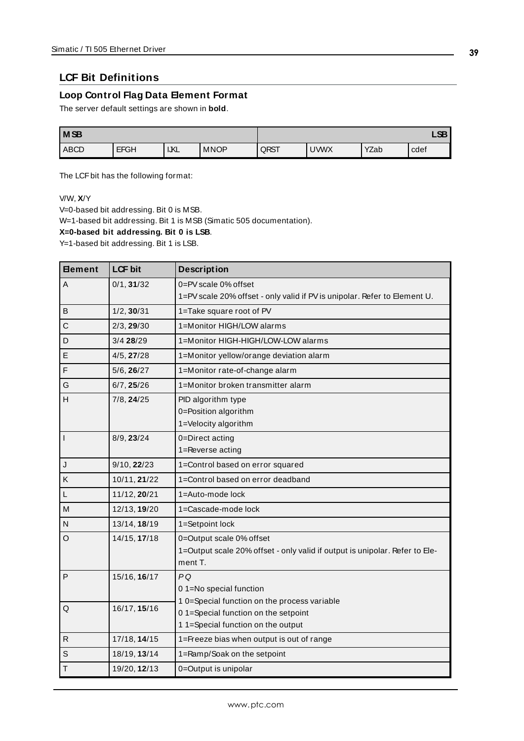# <span id="page-38-0"></span>**LCF Bit Definitions**

### **Loop Control Flag Data Element Format**

The server default settings are shown in **bold**.

| <b>MSB</b> |             |            |             |      |             |      | <b>CD</b><br>Loc |
|------------|-------------|------------|-------------|------|-------------|------|------------------|
| ABCD       | <b>EFGH</b> | <b>IKL</b> | <b>MNOP</b> | QRST | <b>UWWX</b> | YZab | cdef             |

The LCF bit has the following format:

V/W, **X**/Y

V=0-based bit addressing. Bit 0 is MSB.

W=1-based bit addressing. Bit 1 is MSB (Simatic 505 documentation).

**X=0-based bit addressing. Bit 0 is LSB**.

Y=1-based bit addressing. Bit 1 is LSB.

| <b>Eement</b> | <b>LCF</b> bit  | <b>Description</b>                                                          |
|---------------|-----------------|-----------------------------------------------------------------------------|
| A             | 0/1, 31/32      | 0=PV scale 0% offset                                                        |
|               |                 | 1=PV scale 20% offset - only valid if PV is unipolar. Refer to Element U.   |
| B             | 1/2, 30/31      | 1=Take square root of PV                                                    |
| C             | 2/3, 29/30      | 1=Monitor HIGH/LOW alarms                                                   |
| D             | $3/4$ 28/29     | 1=Monitor HIGH-HIGH/LOW-LOW alarms                                          |
| E             | 4/5, 27/28      | 1=Monitor yellow/orange deviation alarm                                     |
| $\mathsf F$   | 5/6, 26/27      | 1=Monitor rate-of-change alarm                                              |
| G             | 6/7, 25/26      | 1=Monitor broken transmitter alarm                                          |
| н             | $7/8$ , $24/25$ | PID algorithm type                                                          |
|               |                 | 0=Position algorithm                                                        |
|               |                 | 1=Velocity algorithm                                                        |
| l t           | 8/9, 23/24      | 0=Direct acting                                                             |
|               |                 | 1=Reverse acting                                                            |
| J             | 9/10, 22/23     | 1=Control based on error squared                                            |
| Κ             | 10/11, 21/22    | 1=Control based on error deadband                                           |
| $\mathsf L$   | 11/12, 20/21    | 1=Auto-mode lock                                                            |
| M             | 12/13, 19/20    | 1=Cascade-mode lock                                                         |
| N             | 13/14, 18/19    | 1=Setpoint lock                                                             |
| $\circ$       | 14/15, 17/18    | 0=Output scale 0% offset                                                    |
|               |                 | 1=Output scale 20% offset - only valid if output is unipolar. Refer to Ele- |
|               |                 | ment T.                                                                     |
| P             | 15/16, 16/17    | PQ                                                                          |
|               |                 | 01=No special function                                                      |
| Q             | 16/17, 15/16    | 10=Special function on the process variable                                 |
|               |                 | 01=Special function on the setpoint                                         |
|               |                 | 1 1=Special function on the output                                          |
| $\mathsf{R}$  | 17/18, 14/15    | 1=Freeze bias when output is out of range                                   |
| S             | 18/19, 13/14    | 1=Ramp/Soak on the setpoint                                                 |
| $\mathsf T$   | 19/20, 12/13    | 0=Output is unipolar                                                        |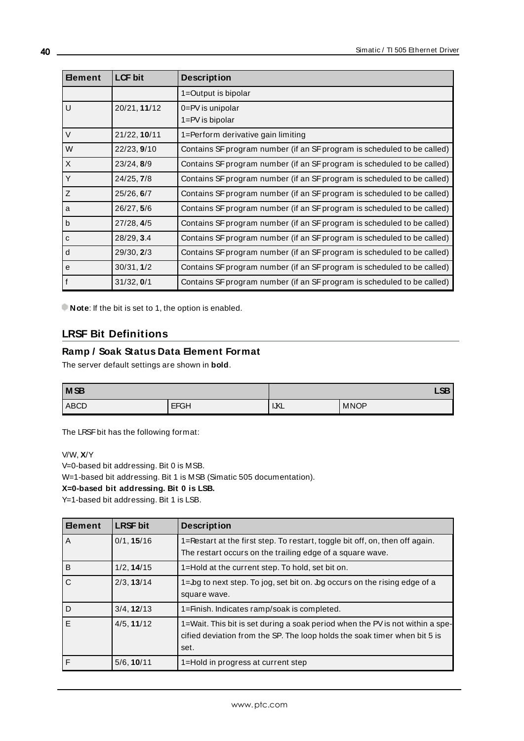| <b>Element</b> | <b>LCF bit</b> | <b>Description</b>                                                      |
|----------------|----------------|-------------------------------------------------------------------------|
|                |                | 1=Output is bipolar                                                     |
| $\cup$         | 20/21, 11/12   | 0=PV is unipolar<br>1=PV is bipolar                                     |
| $\vee$         | 21/22, 10/11   | 1=Perform derivative gain limiting                                      |
| W              | 22/23, 9/10    | Contains SF program number (if an SF program is scheduled to be called) |
| $\sf X$        | 23/24, 8/9     | Contains SF program number (if an SF program is scheduled to be called) |
| Y              | 24/25, 7/8     | Contains SF program number (if an SF program is scheduled to be called) |
| Z              | 25/26, 6/7     | Contains SF program number (if an SF program is scheduled to be called) |
| a              | 26/27, 5/6     | Contains SF program number (if an SF program is scheduled to be called) |
| $\mathsf b$    | 27/28, 4/5     | Contains SF program number (if an SF program is scheduled to be called) |
| $\mathbf{C}$   | 28/29, 3.4     | Contains SF program number (if an SF program is scheduled to be called) |
| d              | 29/30, 2/3     | Contains SF program number (if an SF program is scheduled to be called) |
| e              | 30/31, 1/2     | Contains SF program number (if an SF program is scheduled to be called) |
| f              | 31/32, 0/1     | Contains SF program number (if an SF program is scheduled to be called) |

<span id="page-39-0"></span>**Note:** If the bit is set to 1, the option is enabled.

# **LRSF Bit Definitions**

### **Ramp / Soak Status Data Element Format**

The server default settings are shown in **bold**.

| M <sub>SB</sub> |             | $\sim$ |             |
|-----------------|-------------|--------|-------------|
| ABCD            | <b>EFGH</b> | IKL    | <b>MNOP</b> |

The LRSF bit has the following format:

V/W, **X**/Y

V=0-based bit addressing. Bit 0 is MSB.

W=1-based bit addressing. Bit 1 is MSB (Simatic 505 documentation).

#### **X=0-based bit addressing. Bit 0 is LSB.**

Y=1-based bit addressing. Bit 1 is LSB.

| <b>Element</b> | <b>LRSF bit</b> | <b>Description</b>                                                                                                                                                 |
|----------------|-----------------|--------------------------------------------------------------------------------------------------------------------------------------------------------------------|
| $\overline{A}$ | 0/1, 15/16      | 1=Restart at the first step. To restart, toggle bit off, on, then off again.<br>The restart occurs on the trailing edge of a square wave.                          |
|                |                 |                                                                                                                                                                    |
| $\overline{B}$ | 1/2, 14/15      | 1=Hold at the current step. To hold, set bit on.                                                                                                                   |
| $\mathsf{C}$   | 2/3, 13/14      | $1 =$ bg to next step. To jog, set bit on. bg occurs on the rising edge of a<br>square wave.                                                                       |
| D              | 3/4, 12/13      | 1=Finish. Indicates ramp/soak is completed.                                                                                                                        |
| E              | 4/5, 11/12      | 1=Wait. This bit is set during a soak period when the PV is not within a spe-<br>cified deviation from the SP. The loop holds the soak timer when bit 5 is<br>set. |
| F              | 5/6, 10/11      | 1=Hold in progress at current step                                                                                                                                 |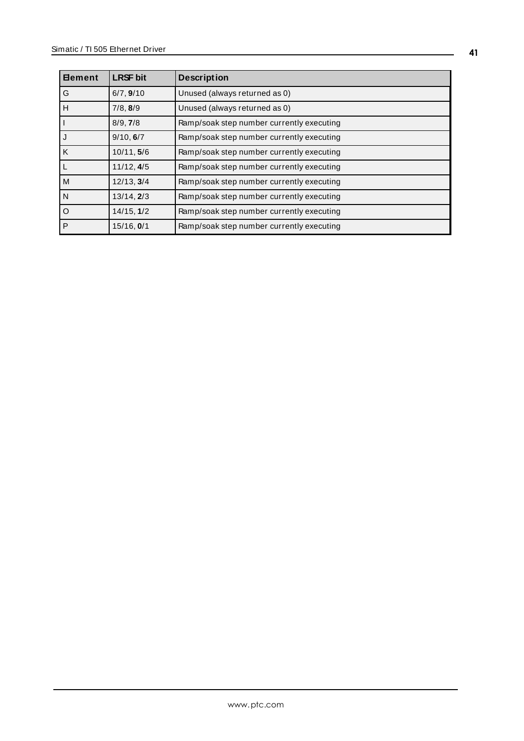| <b>Element</b> | <b>LRSF bit</b> | <b>Description</b>                        |
|----------------|-----------------|-------------------------------------------|
| l G            | 6/7, 9/10       | Unused (always returned as 0)             |
| H              | 7/8, 8/9        | Unused (always returned as 0)             |
| П              | 8/9, 7/8        | Ramp/soak step number currently executing |
| IJ             | 9/10, 6/7       | Ramp/soak step number currently executing |
| K              | 10/11, 5/6      | Ramp/soak step number currently executing |
| l L            | 11/12, 4/5      | Ramp/soak step number currently executing |
| M              | 12/13, 3/4      | Ramp/soak step number currently executing |
| N              | 13/14, 2/3      | Ramp/soak step number currently executing |
| l o            | 14/15, 1/2      | Ramp/soak step number currently executing |
| P              | 15/16, 0/1      | Ramp/soak step number currently executing |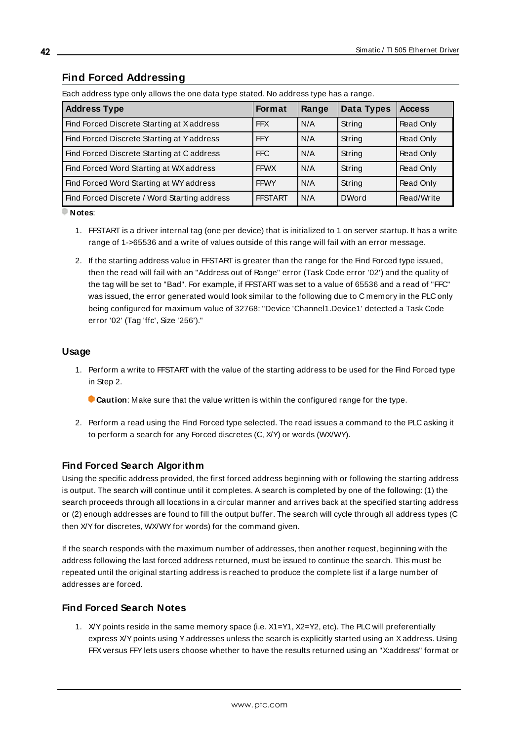# <span id="page-41-0"></span>**Find Forced Addressing**

| <b>Address Type</b>                          | <b>Format</b>  | Range | Data Types   | <b>Access</b> |
|----------------------------------------------|----------------|-------|--------------|---------------|
| Find Forced Discrete Starting at Xaddress    | <b>FFX</b>     | N/A   | String       | Read Only     |
| Find Forced Discrete Starting at Yaddress    | <b>FFY</b>     | N/A   | String       | Read Only     |
| Find Forced Discrete Starting at Caddress    | FFC            | N/A   | String       | Read Only     |
| Find Forced Word Starting at WX address      | <b>FFWX</b>    | N/A   | String       | Read Only     |
| Find Forced Word Starting at WY address      | <b>FFWY</b>    | N/A   | String       | Read Only     |
| Find Forced Discrete / Word Starting address | <b>FFSTART</b> | N/A   | <b>DWord</b> | Read/Write    |

Each address type only allows the one data type stated. No address type has a range.

**Notes**:

- 1. FFSTART is a driver internal tag (one per device) that is initialized to 1 on server startup. It has a write range of 1->65536 and a write of values outside of this range will fail with an error message.
- 2. If the starting address value in FFSTART is greater than the range for the Find Forced type issued, then the read will fail with an "Address out of Range" error (Task Code error '02') and the quality of the tag will be set to "Bad". For example, if FFSTART was set to a value of 65536 and a read of "FFC" was issued, the error generated would look similar to the following due to C memory in the PLC only being configured for maximum value of 32768: "Device 'Channel1.Device1' detected a Task Code error '02' (Tag 'ffc', Size '256')."

### **Usage**

- 1. Perform a write to FFSTART with the value of the starting address to be used for the Find Forced type in Step 2.
	- **Caution**: Make sure that the value written is within the configured range for the type.
- 2. Perform a read using the Find Forced type selected. The read issues a command to the PLC asking it to perform a search for any Forced discretes (C, X/Y) or words (WX/WY).

# **Find Forced Search Algorithm**

Using the specific address provided, the first forced address beginning with or following the starting address is output. The search will continue until it completes. A search is completed by one of the following: (1) the search proceeds through all locations in a circular manner and arrives back at the specified starting address or (2) enough addresses are found to fill the output buffer. The search will cycle through all address types (C then X/Yfor discretes, WX/WYfor words) for the command given.

If the search responds with the maximum number of addresses, then another request, beginning with the address following the last forced address returned, must be issued to continue the search. This must be repeated until the original starting address is reached to produce the complete list if a large number of addresses are forced.

# **Find Forced Search Notes**

1. X/Ypoints reside in the same memory space (i.e. X1=Y1, X2=Y2, etc). The PLC will preferentially express X/Ypoints using Yaddresses unless the search is explicitly started using an Xaddress. Using FFXversus FFYlets users choose whether to have the results returned using an "X:address" format or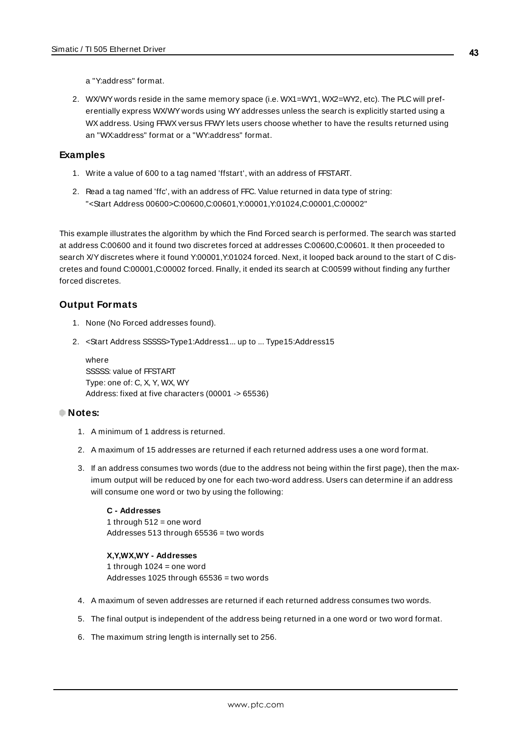**43**

a "Y:address" format.

2. WX/WY words reside in the same memory space (i.e. WX1=WY1, WX2=WY2, etc). The PLC will preferentially express WX/WY words using WYaddresses unless the search is explicitly started using a WX address. Using FFWX versus FFWY lets users choose whether to have the results returned using an "WX:address" format or a "WY:address" format.

### **Examples**

- 1. Write a value of 600 to a tag named 'ffstart', with an address of FFSTART.
- 2. Read a tag named 'ffc', with an address of FFC. Value returned in data type of string: "<Start Address 00600>C:00600,C:00601,Y:00001,Y:01024,C:00001,C:00002"

This example illustrates the algorithm by which the Find Forced search is performed. The search was started at address C:00600 and it found two discretes forced at addresses C:00600,C:00601. It then proceeded to search X/Ydiscretes where it found Y:00001,Y:01024 forced. Next, it looped back around to the start of C discretes and found C:00001,C:00002 forced. Finally, it ended its search at C:00599 without finding any further forced discretes.

### **Output Formats**

- 1. None (No Forced addresses found).
- 2. <Start Address SSSSS>Type1:Address1... up to ... Type15:Address15

where SSSSS: value of FFSTART Type: one of: C, X, Y, WX, WY Address: fixed at five characters (00001 -> 65536)

#### **Notes:**

- 1. A minimum of 1 address is returned.
- 2. A maximum of 15 addresses are returned if each returned address uses a one word format.
- 3. If an address consumes two words (due to the address not being within the first page), then the maximum output will be reduced by one for each two-word address. Users can determine if an address will consume one word or two by using the following:

#### **C - Addresses** 1 through  $512$  = one word Addresses 513 through 65536 = two words

#### **X,Y,WX,WY - Addresses**

1 through  $1024$  = one word Addresses 1025 through 65536 = two words

- 4. A maximum of seven addresses are returned if each returned address consumes two words.
- 5. The final output is independent of the address being returned in a one word or two word format.
- 6. The maximum string length is internally set to 256.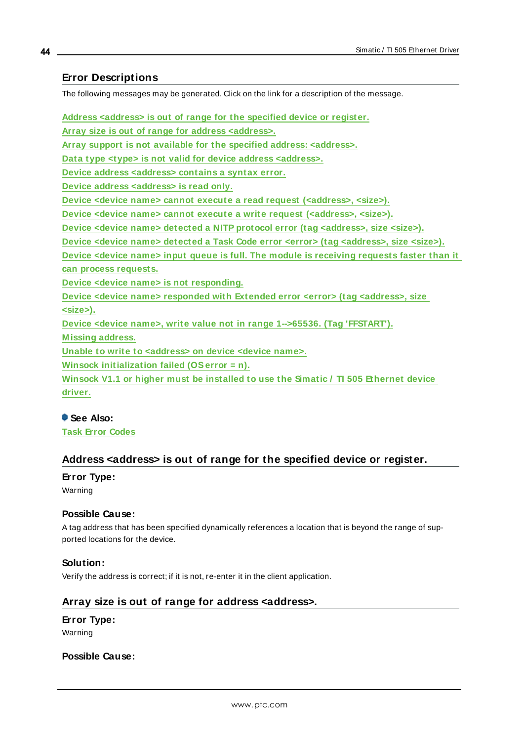### <span id="page-43-0"></span>**Error Descriptions**

The following messages may be generated. Click on the link for a description of the message.

**Address [<address>](#page-43-1) is out of range for the specified device or register. Array size is out of range for address [<address>.](#page-43-2) Array support is not available for the specified address: [<address>.](#page-44-0) Data type <type> is not valid for device address [<address>.](#page-44-1) Device address [<address>](#page-44-2) contains a syntax error. Device address [<address>](#page-44-3) is read only. Device <device name> cannot execute a read request [\(<address>,](#page-45-0) <size>). Device <device name> cannot execute a write request [\(<address>,](#page-45-1) <size>). Device <device name> detected a NITP protocol error (tag [<address>,](#page-45-2) size <size>). Device <device name> detected a Task Code error <error> (tag [<address>,](#page-45-3) size <size>). Device <device name> input queue is full. The module is [receiving](#page-46-0) requests faster than it can process [requests.](#page-46-0) Device <device name> is not [responding.](#page-46-1) Device <device name> responded with Extended error <error> (tag [<address>,](#page-46-2) size [<size>\).](#page-46-2) Device <device name>, write value not in range 1-->65536. (Tag ['FFSTART'\).](#page-47-0) [M issing](#page-47-1) address. Unable to write to [<address>](#page-47-2) on device <device name>.**

**Winsock [initialization](#page-48-0) failed (OSerror = n).**

**Winsock V1.1 or higher must be [installed](#page-48-1) to use the Simatic / TI 505 Ethernet device [driver.](#page-48-1)**

#### **See Also:**

<span id="page-43-1"></span>**Task Error [Codes](#page-49-0)**

#### **Address <address> is out of range for the specified device or register.**

# **Error Type:**

Warning

#### **Possible Cause:**

A tag address that has been specified dynamically references a location that is beyond the range of supported locations for the device.

#### **Solution:**

<span id="page-43-2"></span>Verify the address is correct; if it is not, re-enter it in the client application.

#### **Array size is out of range for address <address>.**

#### **Error Type:**

Warning

# **Possible Cause:**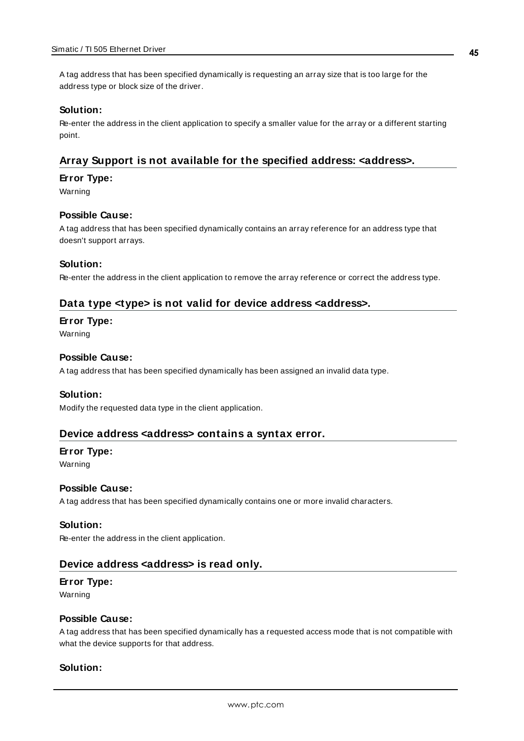A tag address that has been specified dynamically is requesting an array size that is too large for the address type or block size of the driver.

#### **Solution:**

Re-enter the address in the client application to specify a smaller value for the array or a different starting point.

### <span id="page-44-0"></span>**Array Support is not available for the specified address: <address>.**

#### **Error Type:**

Warning

#### **Possible Cause:**

A tag address that has been specified dynamically contains an array reference for an address type that doesn't support arrays.

#### **Solution:**

<span id="page-44-1"></span>Re-enter the address in the client application to remove the array reference or correct the address type.

### **Data type <type> is not valid for device address <address>.**

#### **Error Type:**

Warning

#### **Possible Cause:**

A tag address that has been specified dynamically has been assigned an invalid data type.

#### **Solution:**

<span id="page-44-2"></span>Modify the requested data type in the client application.

#### **Device address <address> contains a syntax error.**

# **Error Type:**

Warning

#### **Possible Cause:**

A tag address that has been specified dynamically contains one or more invalid characters.

#### **Solution:**

<span id="page-44-3"></span>Re-enter the address in the client application.

#### **Device address <address> is read only.**

#### **Error Type:**

Warning

#### **Possible Cause:**

A tag address that has been specified dynamically has a requested access mode that is not compatible with what the device supports for that address.

#### **Solution:**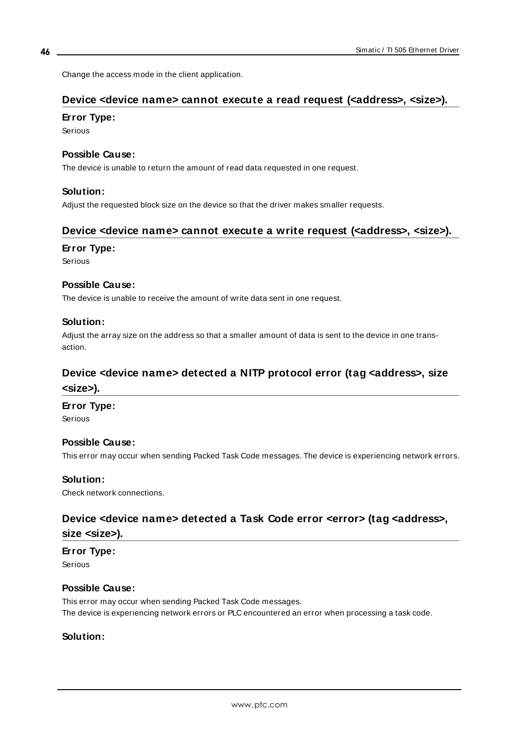<span id="page-45-0"></span>Change the access mode in the client application.

# **Device <device name> cannot execute a read request (<address>, <size>).**

### **Error Type:**

Serious

### **Possible Cause:**

The device is unable to return the amount of read data requested in one request.

### **Solution:**

<span id="page-45-1"></span>Adjust the requested block size on the device so that the driver makes smaller requests.

# **Device <device name> cannot execute a write request (<address>, <size>).**

#### **Error Type:**

Serious

### **Possible Cause:**

The device is unable to receive the amount of write data sent in one request.

### **Solution:**

Adjust the array size on the address so that a smaller amount of data is sent to the device in one transaction.

# <span id="page-45-2"></span>**Device <device name> detected a NITP protocol error (tag <address>, size <size>).**

#### **Error Type:**

Serious

#### **Possible Cause:**

This error may occur when sending Packed Task Code messages. The device is experiencing network errors.

#### **Solution:**

<span id="page-45-3"></span>Check network connections.

# **Device <device name> detected a Task Code error <error> (tag <address>,**

# **size <size>).**

#### **Error Type:**

Serious

#### **Possible Cause:**

This error may occur when sending Packed Task Code messages. The device is experiencing network errors or PLC encountered an error when processing a task code.

# **Solution:**

**46**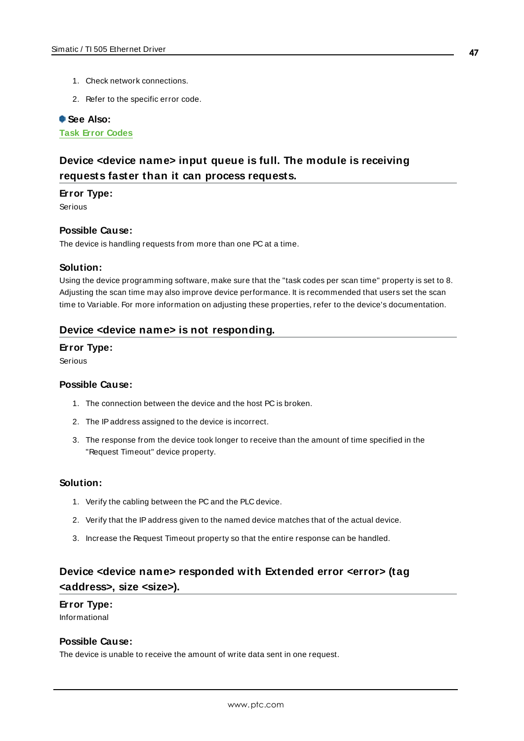- 1. Check network connections.
- 2. Refer to the specific error code.

#### **See Also:**

<span id="page-46-0"></span>**Task Error [Codes](#page-49-0)**

# **Device <device name> input queue is full. The module is receiving requests faster than it can process requests.**

#### **Error Type:**

Serious

#### **Possible Cause:**

The device is handling requests from more than one PC at a time.

#### **Solution:**

Using the device programming software, make sure that the "task codes per scan time" property is set to 8. Adjusting the scan time may also improve device performance. It is recommended that users set the scan time to Variable. For more information on adjusting these properties, refer to the device's documentation.

#### <span id="page-46-1"></span>**Device <device name> is not responding.**

#### **Error Type:**

Serious

#### **Possible Cause:**

- 1. The connection between the device and the host PC is broken.
- 2. The IPaddress assigned to the device is incorrect.
- 3. The response from the device took longer to receive than the amount of time specified in the "Request Timeout" device property.

#### **Solution:**

- 1. Verify the cabling between the PC and the PLC device.
- 2. Verify that the IPaddress given to the named device matches that of the actual device.
- 3. Increase the Request Timeout property so that the entire response can be handled.

# <span id="page-46-2"></span>**Device <device name> responded with Extended error <error> (tag <address>, size <size>).**

# **Error Type:**

Informational

# **Possible Cause:**

The device is unable to receive the amount of write data sent in one request.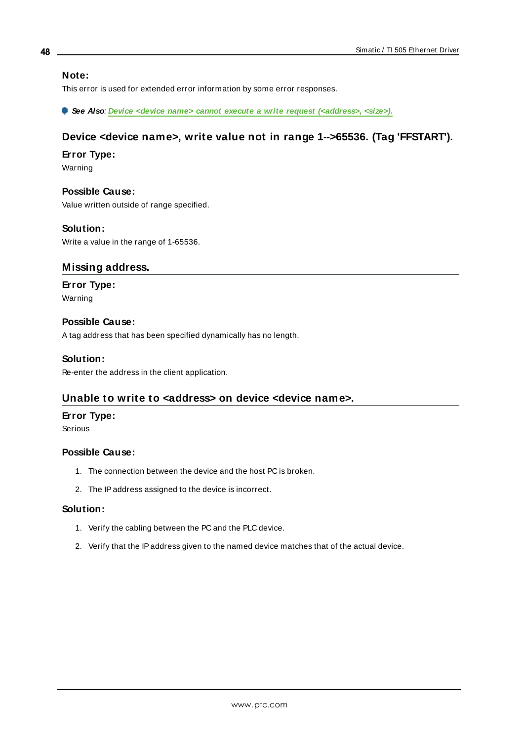#### **Note:**

This error is used for extended error information by some error responses.

<span id="page-47-0"></span>**See Also**: **Device <device name> cannot execute a write request [\(<address>,](#page-45-1) <size>).**

# **Device <device name>, write value not in range 1-->65536. (Tag 'FFSTART').**

#### **Error Type:**

Warning

**Possible Cause:** Value written outside of range specified.

#### **Solution:**

<span id="page-47-1"></span>Write a value in the range of 1-65536.

#### **Missing address.**

**Error Type:** Warning

#### **Possible Cause:**

A tag address that has been specified dynamically has no length.

#### **Solution:**

<span id="page-47-2"></span>Re-enter the address in the client application.

#### **Unable to write to <address> on device <device name>.**

### **Error Type:**

Serious

#### **Possible Cause:**

- 1. The connection between the device and the host PC is broken.
- 2. The IPaddress assigned to the device is incorrect.

#### **Solution:**

- 1. Verify the cabling between the PC and the PLC device.
- 2. Verify that the IPaddress given to the named device matches that of the actual device.

**48**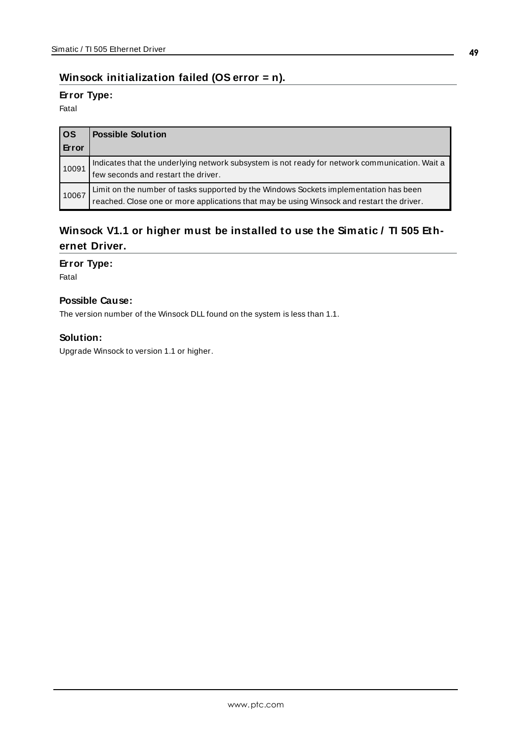# <span id="page-48-0"></span>**Winsock initialization failed (OS error = n).**

### **Error Type:**

Fatal

| l OS  | <b>Possible Solution</b>                                                                                                                                                           |
|-------|------------------------------------------------------------------------------------------------------------------------------------------------------------------------------------|
| Error |                                                                                                                                                                                    |
| 10091 | Indicates that the underlying network subsystem is not ready for network communication. Wait a<br>few seconds and restart the driver.                                              |
| 10067 | Limit on the number of tasks supported by the Windows Sockets implementation has been<br>reached. Close one or more applications that may be using Winsock and restart the driver. |

# <span id="page-48-1"></span>**Winsock V1.1 or higher must be installed to use the Simatic / TI 505 Ethernet Driver.**

### **Error Type:**

Fatal

# **Possible Cause:**

The version number of the Winsock DLL found on the system is less than 1.1.

# **Solution:**

Upgrade Winsock to version 1.1 or higher.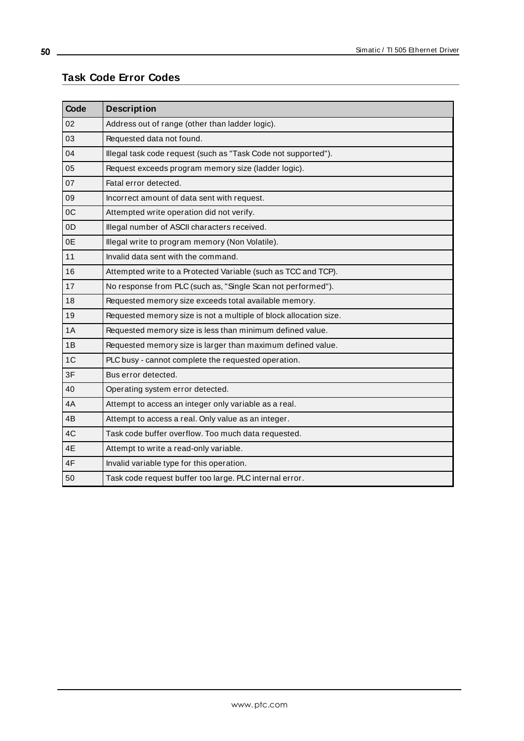# <span id="page-49-0"></span>**Task Code Error Codes**

<u> 1989 - Johann Barn, mars ar breithinn ar chuid ann an t-Alban ann an t-Alban ann an t-Alban ann an t-Alban a</u>

| Code           | <b>Description</b>                                                |
|----------------|-------------------------------------------------------------------|
| 02             | Address out of range (other than ladder logic).                   |
| 03             | Requested data not found.                                         |
| 04             | Illegal task code request (such as "Task Code not supported").    |
| 05             | Request exceeds program memory size (ladder logic).               |
| 07             | Fatal error detected.                                             |
| 09             | Incorrect amount of data sent with request.                       |
| 0C             | Attempted write operation did not verify.                         |
| 0D             | Illegal number of ASCII characters received.                      |
| 0E             | Illegal write to program memory (Non Volatile).                   |
| 11             | Invalid data sent with the command.                               |
| 16             | Attempted write to a Protected Variable (such as TCC and TCP).    |
| 17             | No response from PLC (such as, "Single Scan not performed").      |
| 18             | Requested memory size exceeds total available memory.             |
| 19             | Requested memory size is not a multiple of block allocation size. |
| 1A             | Requested memory size is less than minimum defined value.         |
| 1B             | Requested memory size is larger than maximum defined value.       |
| 1 <sup>C</sup> | PLC busy - cannot complete the requested operation.               |
| 3F             | Bus error detected.                                               |
| 40             | Operating system error detected.                                  |
| 4A             | Attempt to access an integer only variable as a real.             |
| 4B             | Attempt to access a real. Only value as an integer.               |
| 4C             | Task code buffer overflow. Too much data requested.               |
| 4E             | Attempt to write a read-only variable.                            |
| 4F             | Invalid variable type for this operation.                         |
| 50             | Task code request buffer too large. PLC internal error.           |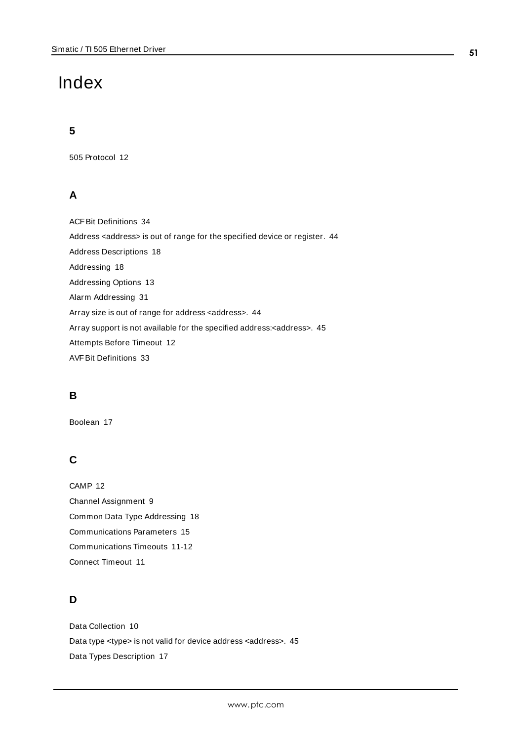# <span id="page-50-0"></span>Index

# **5**

505 Protocol [12](#page-11-0)

# **A**

ACFBit Definitions [34](#page-33-0) Address <address> is out of range for the specified device or register. [44](#page-43-1) Address Descriptions [18](#page-17-0) Addressing [18](#page-17-1) Addressing Options [13](#page-12-0) Alarm Addressing [31](#page-30-0) Array size is out of range for address <address>. [44](#page-43-2) Array support is not available for the specified address:<address>. [45](#page-44-0) Attempts Before Timeout [12](#page-11-1) AVFBit Definitions [33](#page-32-0)

# **B**

Boolean [17](#page-16-1)

# **C**

CAMP [12](#page-11-2) Channel Assignment [9](#page-8-1) Common Data Type Addressing [18](#page-17-2) Communications Parameters [15](#page-14-0) Communications Timeouts [11-12](#page-10-1) Connect Timeout [11](#page-10-2)

# **D**

Data Collection [10](#page-9-2) Data type <type> is not valid for device address <address>. [45](#page-44-1) Data Types Description [17](#page-16-0)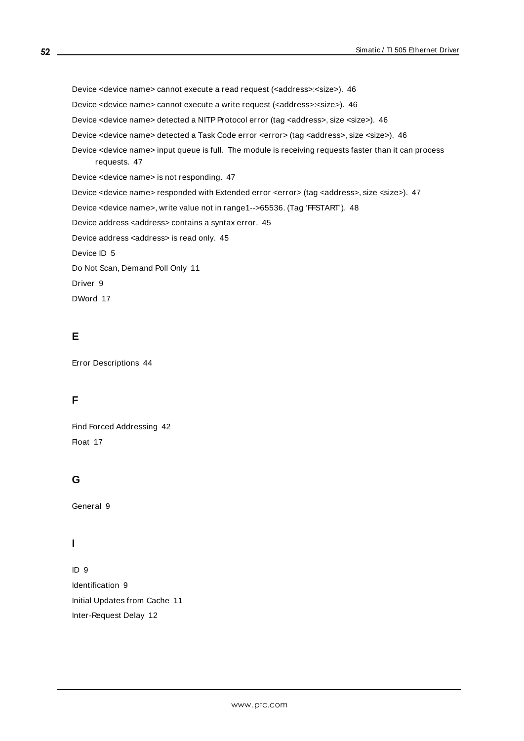Device <device name> cannot execute a read request (<address>:<size>). [46](#page-45-0) Device <device name> cannot execute a write request (<address>:<size>). [46](#page-45-1) Device <device name> detected a NITP Protocol error (tag <address>, size <size>). [46](#page-45-2) Device <device name> detected a Task Code error <error> (tag <address>, size <size>). [46](#page-45-3) Device <device name> input queue is full. The module is receiving requests faster than it can process requests. [47](#page-46-0) Device <device name> is not responding. [47](#page-46-1) Device <device name> responded with Extended error <error> (tag <address>, size <size>). [47](#page-46-2) Device <device name>, write value not in range1-->65536. (Tag 'FFSTART'). [48](#page-47-0) Device address <address> contains a syntax error. [45](#page-44-2) Device address <address> is read only. [45](#page-44-3) Device ID [5](#page-4-1) Do Not Scan, Demand Poll Only [11](#page-10-3) Driver [9](#page-8-2)

DWord [17](#page-16-2)

# **E**

Error Descriptions [44](#page-43-0)

# **F**

Find Forced Addressing [42](#page-41-0) Float [17](#page-16-3)

# **G**

General [9](#page-8-0)

# **I**

ID [9](#page-8-3) Identification [9](#page-8-0) Initial Updates from Cache [11](#page-10-4) Inter-Request Delay [12](#page-11-3)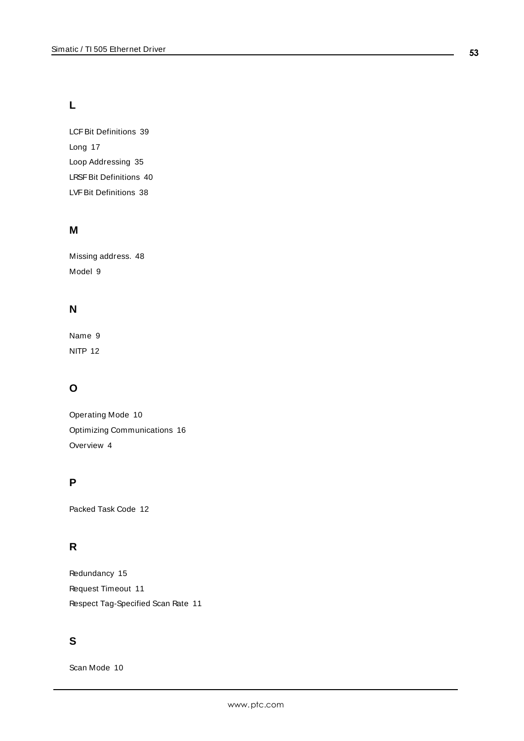# **L**

LCFBit Definitions [39](#page-38-0) Long [17](#page-16-4) Loop Addressing [35](#page-34-0) LRSFBit Definitions [40](#page-39-0) LVFBit Definitions [38](#page-37-0)

# **M**

Missing address. [48](#page-47-1) Model [9](#page-8-4)

# **N**

Name [9](#page-8-5) NITP [12](#page-11-4)

# **O**

Operating Mode [10](#page-9-0) Optimizing Communications [16](#page-15-0) Overview [4](#page-3-1)

# **P**

Packed Task Code [12](#page-11-2)

# **R**

Redundancy [15](#page-14-1) Request Timeout [11](#page-10-5) Respect Tag-Specified Scan Rate [11](#page-10-6)

# **S**

Scan Mode [10](#page-9-3)